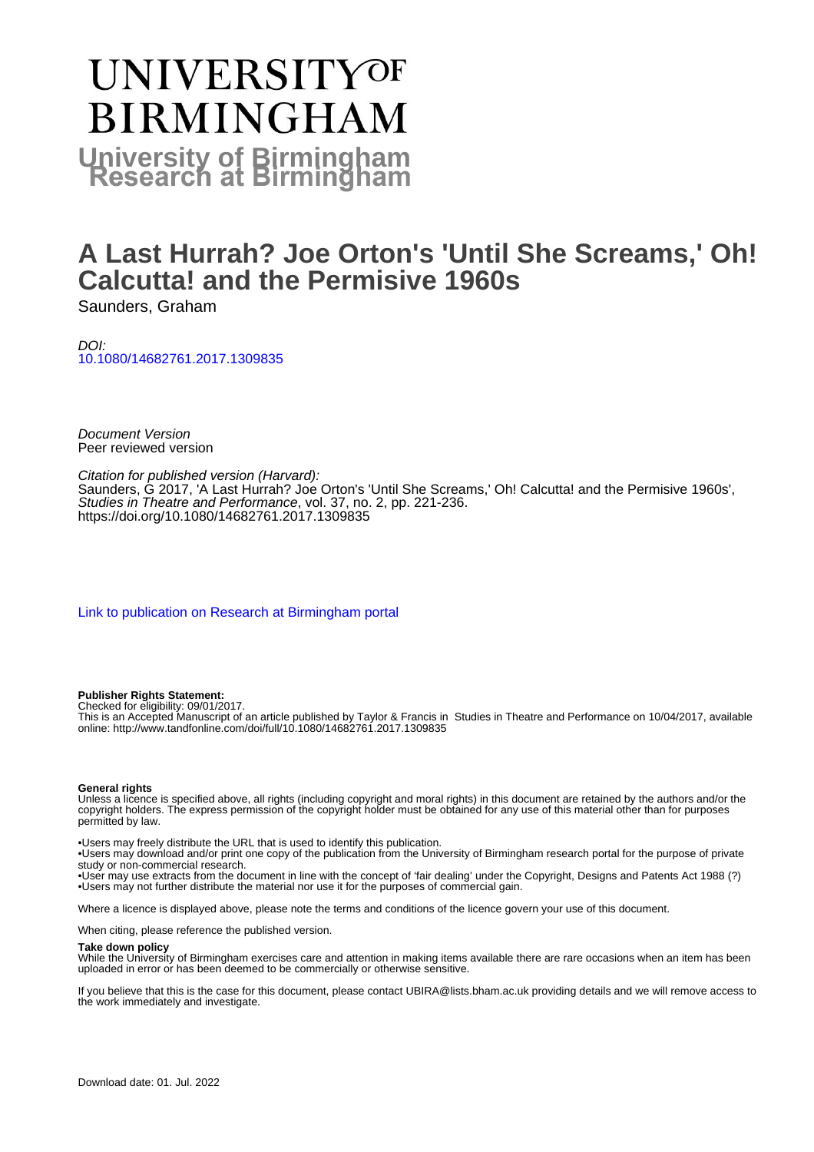# UNIVERSITYOF **BIRMINGHAM University of Birmingham**

# **A Last Hurrah? Joe Orton's 'Until She Screams,' Oh! Calcutta! and the Permisive 1960s**

Saunders, Graham

DOI: [10.1080/14682761.2017.1309835](https://doi.org/10.1080/14682761.2017.1309835)

Document Version Peer reviewed version

Citation for published version (Harvard): Saunders, G 2017, 'A Last Hurrah? Joe Orton's 'Until She Screams,' Oh! Calcutta! and the Permisive 1960s', Studies in Theatre and Performance, vol. 37, no. 2, pp. 221-236. <https://doi.org/10.1080/14682761.2017.1309835>

[Link to publication on Research at Birmingham portal](https://birmingham.elsevierpure.com/en/publications/4fc48261-0012-45e8-aabf-997c6163da54)

**Publisher Rights Statement:**

Checked for eligibility: 09/01/2017.

This is an Accepted Manuscript of an article published by Taylor & Francis in Studies in Theatre and Performance on 10/04/2017, available online: http://www.tandfonline.com/doi/full/10.1080/14682761.2017.1309835

#### **General rights**

Unless a licence is specified above, all rights (including copyright and moral rights) in this document are retained by the authors and/or the copyright holders. The express permission of the copyright holder must be obtained for any use of this material other than for purposes permitted by law.

• Users may freely distribute the URL that is used to identify this publication.

• Users may download and/or print one copy of the publication from the University of Birmingham research portal for the purpose of private study or non-commercial research.

• User may use extracts from the document in line with the concept of 'fair dealing' under the Copyright, Designs and Patents Act 1988 (?) • Users may not further distribute the material nor use it for the purposes of commercial gain.

Where a licence is displayed above, please note the terms and conditions of the licence govern your use of this document.

When citing, please reference the published version.

#### **Take down policy**

While the University of Birmingham exercises care and attention in making items available there are rare occasions when an item has been uploaded in error or has been deemed to be commercially or otherwise sensitive.

If you believe that this is the case for this document, please contact UBIRA@lists.bham.ac.uk providing details and we will remove access to the work immediately and investigate.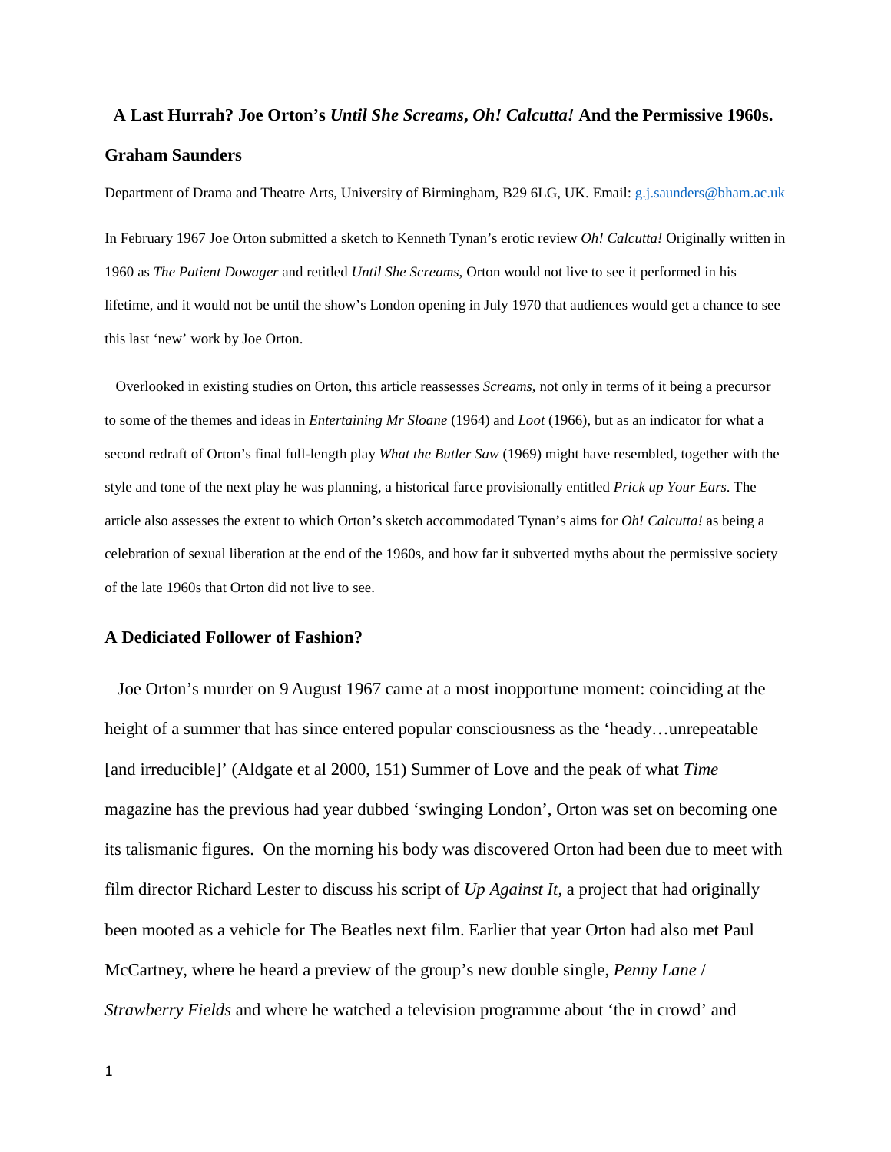# **A Last Hurrah? Joe Orton's** *Until She Screams***,** *Oh! Calcutta!* **And the Permissive 1960s. Graham Saunders**

Department of Drama and Theatre Arts, University of Birmingham, B29 6LG, UK. Email[: g.j.saunders@bham.ac.uk](mailto:g.j.saunders@bham.ac.uk) In February 1967 Joe Orton submitted a sketch to Kenneth Tynan's erotic review *Oh! Calcutta!* Originally written in 1960 as *The Patient Dowager* and retitled *Until She Screams*, Orton would not live to see it performed in his lifetime, and it would not be until the show's London opening in July 1970 that audiences would get a chance to see this last 'new' work by Joe Orton.

 Overlooked in existing studies on Orton, this article reassesses *Screams*, not only in terms of it being a precursor to some of the themes and ideas in *Entertaining Mr Sloane* (1964) and *Loot* (1966), but as an indicator for what a second redraft of Orton's final full-length play *What the Butler Saw* (1969) might have resembled, together with the style and tone of the next play he was planning, a historical farce provisionally entitled *Prick up Your Ears*. The article also assesses the extent to which Orton's sketch accommodated Tynan's aims for *Oh! Calcutta!* as being a celebration of sexual liberation at the end of the 1960s, and how far it subverted myths about the permissive society of the late 1960s that Orton did not live to see.

#### **A Dediciated Follower of Fashion?**

 Joe Orton's murder on 9 August 1967 came at a most inopportune moment: coinciding at the height of a summer that has since entered popular consciousness as the 'heady...unrepeatable [and irreducible]' (Aldgate et al 2000, 151) Summer of Love and the peak of what *Time*  magazine has the previous had year dubbed 'swinging London', Orton was set on becoming one its talismanic figures. On the morning his body was discovered Orton had been due to meet with film director Richard Lester to discuss his script of *Up Against It*, a project that had originally been mooted as a vehicle for The Beatles next film. Earlier that year Orton had also met Paul McCartney, where he heard a preview of the group's new double single, *Penny Lane* / *Strawberry Fields* and where he watched a television programme about 'the in crowd' and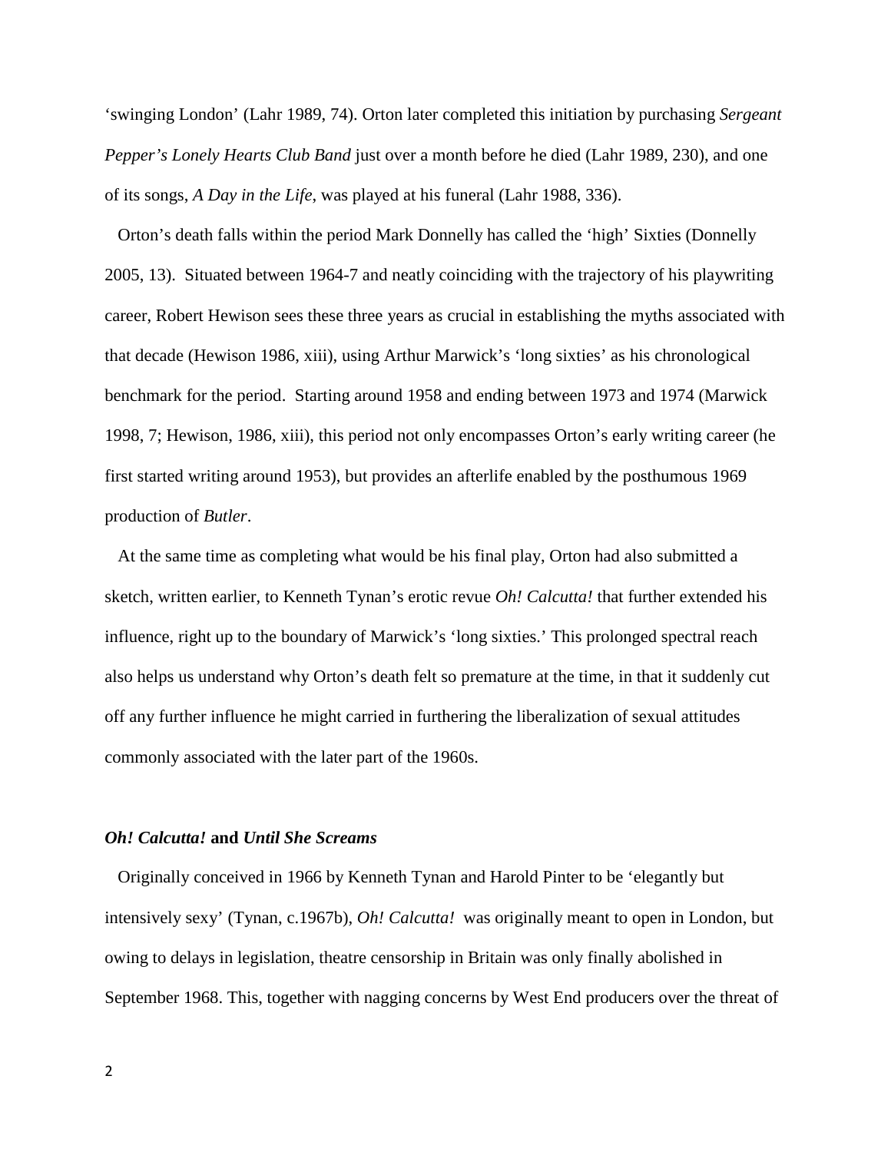'swinging London' (Lahr 1989, 74). Orton later completed this initiation by purchasing *Sergeant Pepper's Lonely Hearts Club Band* just over a month before he died (Lahr 1989, 230), and one of its songs, *A Day in the Life*, was played at his funeral (Lahr 1988, 336).

 Orton's death falls within the period Mark Donnelly has called the 'high' Sixties (Donnelly 2005, 13). Situated between 1964-7 and neatly coinciding with the trajectory of his playwriting career, Robert Hewison sees these three years as crucial in establishing the myths associated with that decade (Hewison 1986, xiii), using Arthur Marwick's 'long sixties' as his chronological benchmark for the period. Starting around 1958 and ending between 1973 and 1974 (Marwick 1998, 7; Hewison, 1986, xiii), this period not only encompasses Orton's early writing career (he first started writing around 1953), but provides an afterlife enabled by the posthumous 1969 production of *Butler*.

 At the same time as completing what would be his final play, Orton had also submitted a sketch, written earlier, to Kenneth Tynan's erotic revue *Oh! Calcutta!* that further extended his influence, right up to the boundary of Marwick's 'long sixties.' This prolonged spectral reach also helps us understand why Orton's death felt so premature at the time, in that it suddenly cut off any further influence he might carried in furthering the liberalization of sexual attitudes commonly associated with the later part of the 1960s.

### *Oh! Calcutta!* **and** *Until She Screams*

 Originally conceived in 1966 by Kenneth Tynan and Harold Pinter to be 'elegantly but intensively sexy' (Tynan, c.1967b), *Oh! Calcutta!* was originally meant to open in London, but owing to delays in legislation, theatre censorship in Britain was only finally abolished in September 1968. This, together with nagging concerns by West End producers over the threat of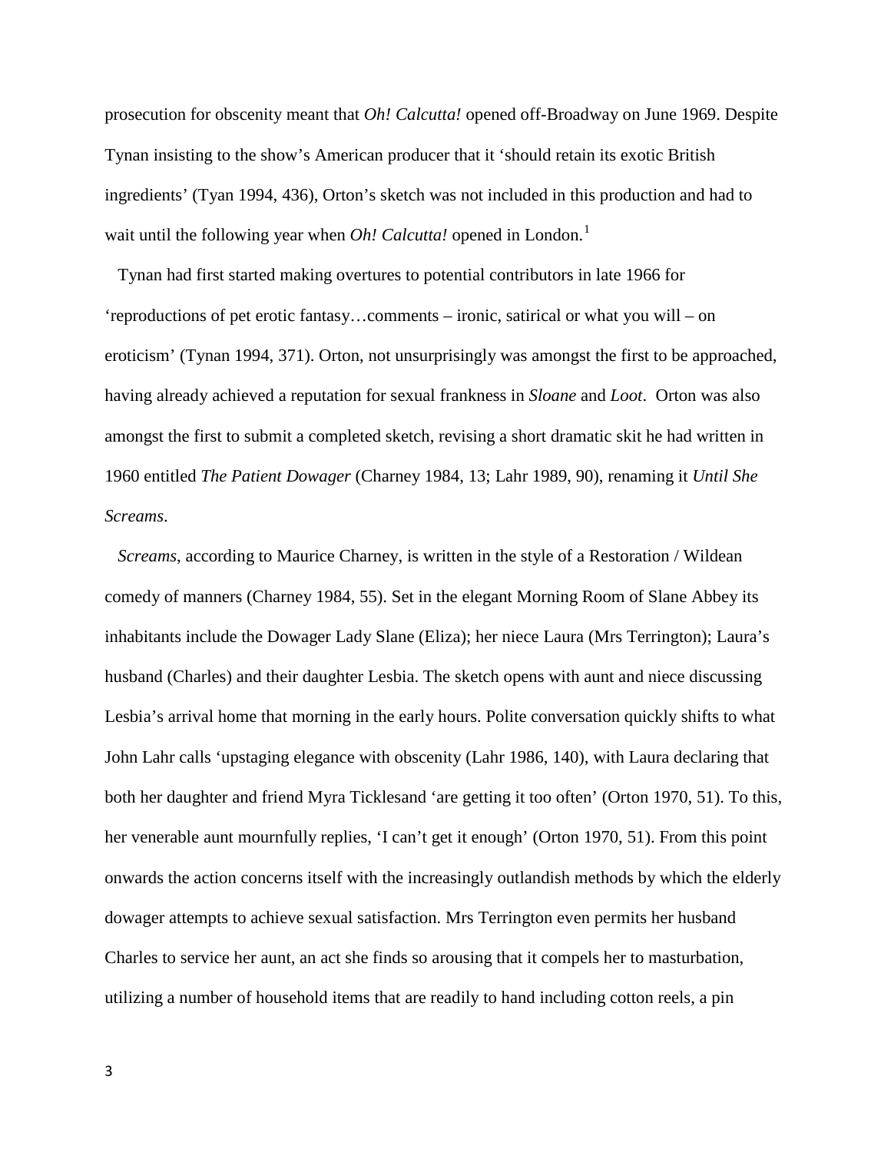prosecution for obscenity meant that *Oh! Calcutta!* opened off-Broadway on June 1969. Despite Tynan insisting to the show's American producer that it 'should retain its exotic British ingredients' (Tyan 1994, 436), Orton's sketch was not included in this production and had to wait until the following year when *Oh! Calcutta!* opened in London.<sup>[1](#page-29-0)</sup>

 Tynan had first started making overtures to potential contributors in late 1966 for 'reproductions of pet erotic fantasy…comments – ironic, satirical or what you will – on eroticism' (Tynan 1994, 371). Orton, not unsurprisingly was amongst the first to be approached, having already achieved a reputation for sexual frankness in *Sloane* and *Loot*. Orton was also amongst the first to submit a completed sketch, revising a short dramatic skit he had written in 1960 entitled *The Patient Dowager* (Charney 1984, 13; Lahr 1989, 90), renaming it *Until She Screams*.

 *Screams*, according to Maurice Charney, is written in the style of a Restoration / Wildean comedy of manners (Charney 1984, 55). Set in the elegant Morning Room of Slane Abbey its inhabitants include the Dowager Lady Slane (Eliza); her niece Laura (Mrs Terrington); Laura's husband (Charles) and their daughter Lesbia. The sketch opens with aunt and niece discussing Lesbia's arrival home that morning in the early hours. Polite conversation quickly shifts to what John Lahr calls 'upstaging elegance with obscenity (Lahr 1986, 140), with Laura declaring that both her daughter and friend Myra Ticklesand 'are getting it too often' (Orton 1970, 51). To this, her venerable aunt mournfully replies, 'I can't get it enough' (Orton 1970, 51). From this point onwards the action concerns itself with the increasingly outlandish methods by which the elderly dowager attempts to achieve sexual satisfaction. Mrs Terrington even permits her husband Charles to service her aunt, an act she finds so arousing that it compels her to masturbation, utilizing a number of household items that are readily to hand including cotton reels, a pin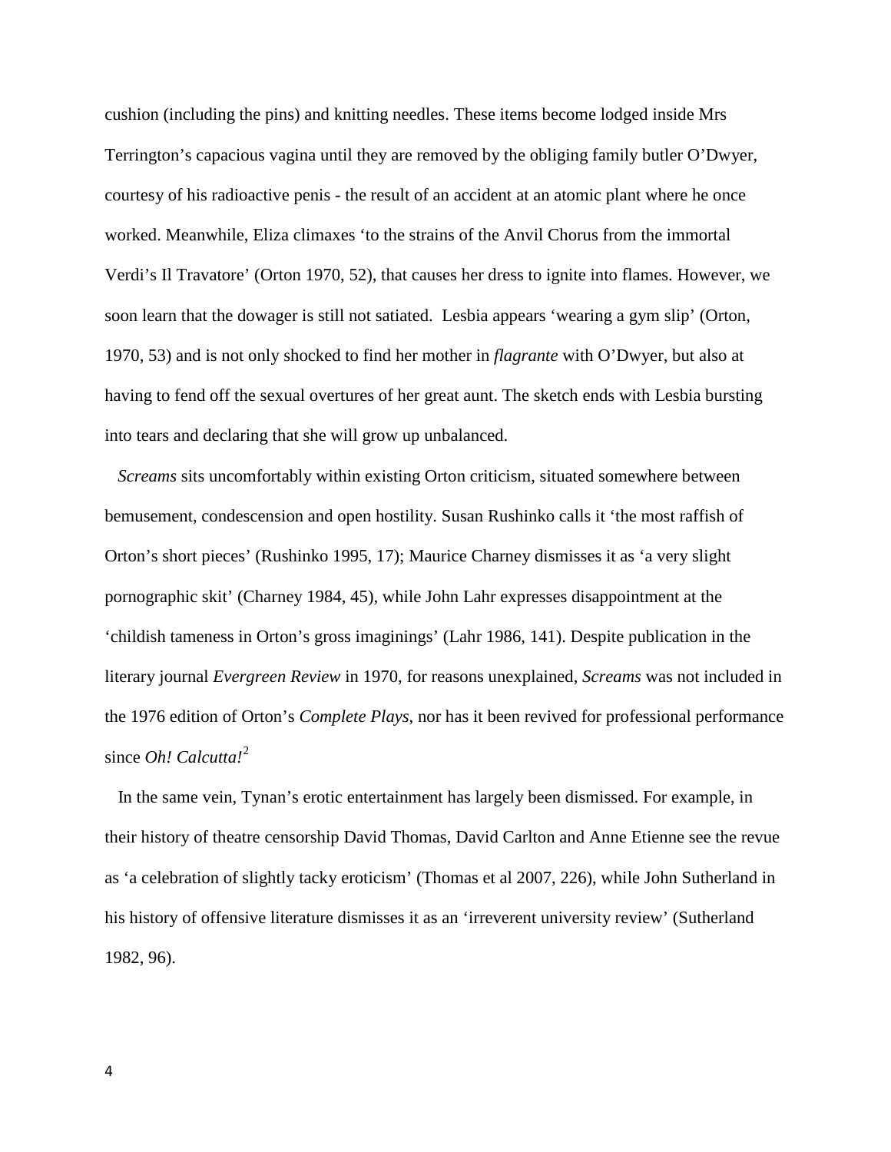cushion (including the pins) and knitting needles. These items become lodged inside Mrs Terrington's capacious vagina until they are removed by the obliging family butler O'Dwyer, courtesy of his radioactive penis - the result of an accident at an atomic plant where he once worked. Meanwhile, Eliza climaxes 'to the strains of the Anvil Chorus from the immortal Verdi's Il Travatore' (Orton 1970, 52), that causes her dress to ignite into flames. However, we soon learn that the dowager is still not satiated. Lesbia appears 'wearing a gym slip' (Orton, 1970, 53) and is not only shocked to find her mother in *flagrante* with O'Dwyer, but also at having to fend off the sexual overtures of her great aunt. The sketch ends with Lesbia bursting into tears and declaring that she will grow up unbalanced.

 *Screams* sits uncomfortably within existing Orton criticism, situated somewhere between bemusement, condescension and open hostility. Susan Rushinko calls it 'the most raffish of Orton's short pieces' (Rushinko 1995, 17); Maurice Charney dismisses it as 'a very slight pornographic skit' (Charney 1984, 45), while John Lahr expresses disappointment at the 'childish tameness in Orton's gross imaginings' (Lahr 1986, 141). Despite publication in the literary journal *Evergreen Review* in 1970, for reasons unexplained, *Screams* was not included in the 1976 edition of Orton's *Complete Plays*, nor has it been revived for professional performance since *Oh! Calcutta!*[2](#page-29-1)

 In the same vein, Tynan's erotic entertainment has largely been dismissed. For example, in their history of theatre censorship David Thomas, David Carlton and Anne Etienne see the revue as 'a celebration of slightly tacky eroticism' (Thomas et al 2007, 226), while John Sutherland in his history of offensive literature dismisses it as an 'irreverent university review' (Sutherland 1982, 96).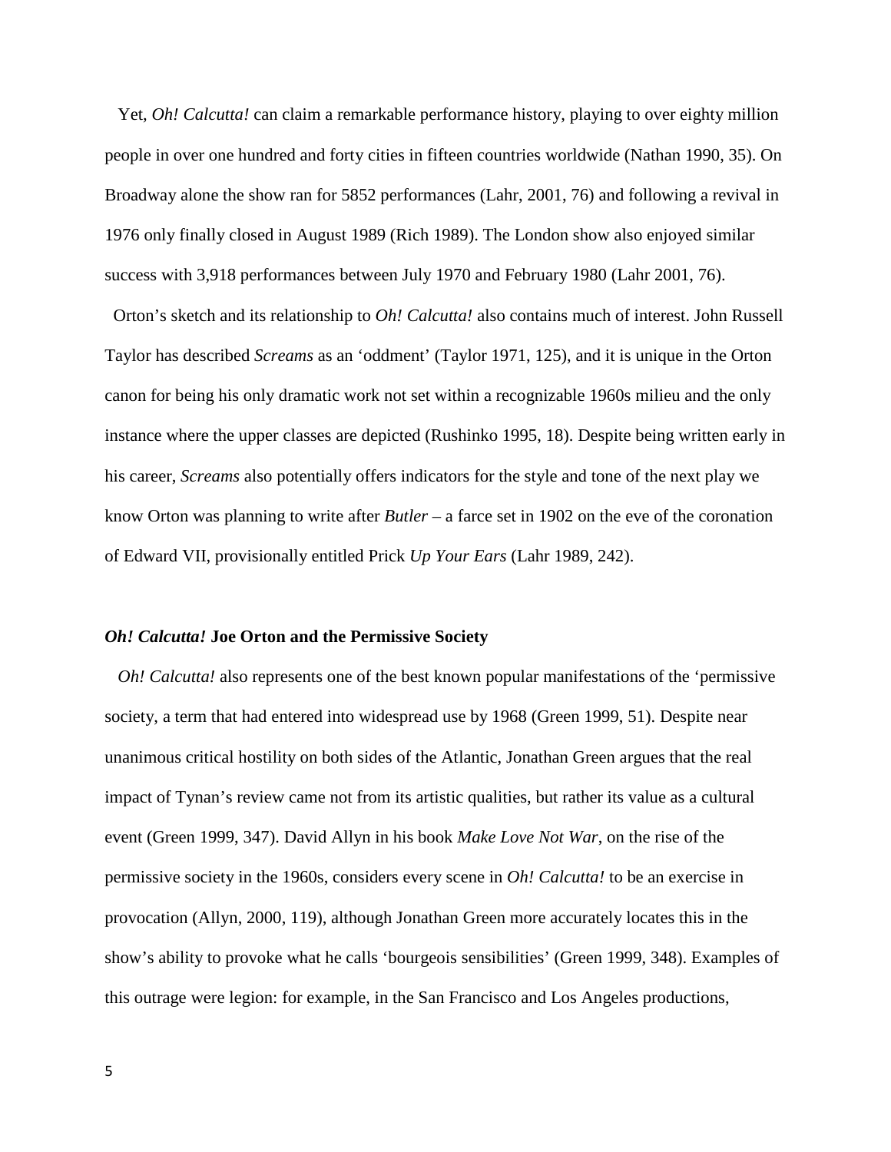Yet, *Oh! Calcutta!* can claim a remarkable performance history, playing to over eighty million people in over one hundred and forty cities in fifteen countries worldwide (Nathan 1990, 35). On Broadway alone the show ran for 5852 performances (Lahr, 2001, 76) and following a revival in 1976 only finally closed in August 1989 (Rich 1989). The London show also enjoyed similar success with 3,918 performances between July 1970 and February 1980 (Lahr 2001, 76).

 Orton's sketch and its relationship to *Oh! Calcutta!* also contains much of interest. John Russell Taylor has described *Screams* as an 'oddment' (Taylor 1971, 125), and it is unique in the Orton canon for being his only dramatic work not set within a recognizable 1960s milieu and the only instance where the upper classes are depicted (Rushinko 1995, 18). Despite being written early in his career, *Screams* also potentially offers indicators for the style and tone of the next play we know Orton was planning to write after *Butler* – a farce set in 1902 on the eve of the coronation of Edward VII, provisionally entitled Prick *Up Your Ears* (Lahr 1989, 242).

#### *Oh! Calcutta!* **Joe Orton and the Permissive Society**

*Oh! Calcutta!* also represents one of the best known popular manifestations of the 'permissive society, a term that had entered into widespread use by 1968 (Green 1999, 51). Despite near unanimous critical hostility on both sides of the Atlantic, Jonathan Green argues that the real impact of Tynan's review came not from its artistic qualities, but rather its value as a cultural event (Green 1999, 347). David Allyn in his book *Make Love Not War*, on the rise of the permissive society in the 1960s, considers every scene in *Oh! Calcutta!* to be an exercise in provocation (Allyn, 2000, 119), although Jonathan Green more accurately locates this in the show's ability to provoke what he calls 'bourgeois sensibilities' (Green 1999, 348). Examples of this outrage were legion: for example, in the San Francisco and Los Angeles productions,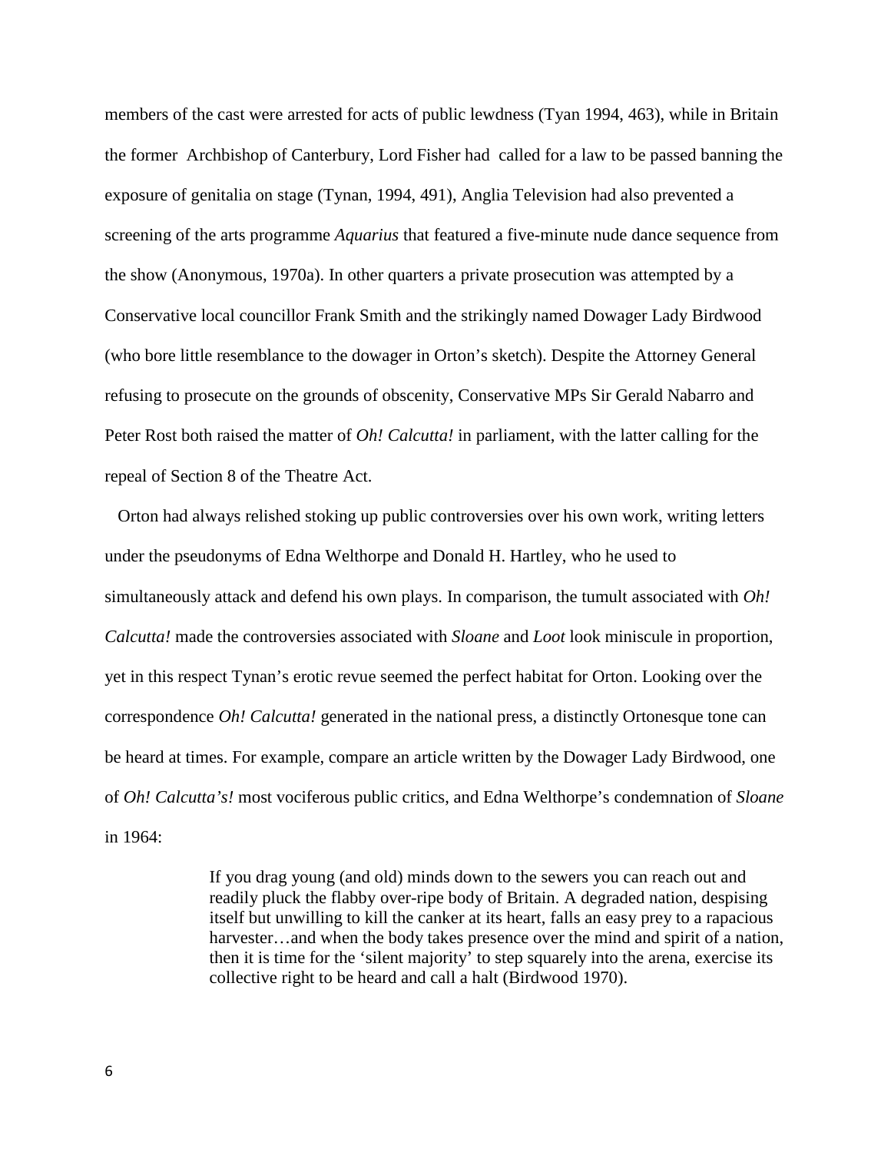members of the cast were arrested for acts of public lewdness (Tyan 1994, 463), while in Britain the former Archbishop of Canterbury, Lord Fisher had called for a law to be passed banning the exposure of genitalia on stage (Tynan, 1994, 491), Anglia Television had also prevented a screening of the arts programme *Aquarius* that featured a five-minute nude dance sequence from the show (Anonymous, 1970a). In other quarters a private prosecution was attempted by a Conservative local councillor Frank Smith and the strikingly named Dowager Lady Birdwood (who bore little resemblance to the dowager in Orton's sketch). Despite the Attorney General refusing to prosecute on the grounds of obscenity, Conservative MPs Sir Gerald Nabarro and Peter Rost both raised the matter of *Oh! Calcutta!* in parliament, with the latter calling for the repeal of Section 8 of the Theatre Act.

 Orton had always relished stoking up public controversies over his own work, writing letters under the pseudonyms of Edna Welthorpe and Donald H. Hartley, who he used to simultaneously attack and defend his own plays. In comparison, the tumult associated with *Oh! Calcutta!* made the controversies associated with *Sloane* and *Loot* look miniscule in proportion, yet in this respect Tynan's erotic revue seemed the perfect habitat for Orton. Looking over the correspondence *Oh! Calcutta!* generated in the national press, a distinctly Ortonesque tone can be heard at times. For example, compare an article written by the Dowager Lady Birdwood, one of *Oh! Calcutta's!* most vociferous public critics, and Edna Welthorpe's condemnation of *Sloane* in 1964:

> If you drag young (and old) minds down to the sewers you can reach out and readily pluck the flabby over-ripe body of Britain. A degraded nation, despising itself but unwilling to kill the canker at its heart, falls an easy prey to a rapacious harvester...and when the body takes presence over the mind and spirit of a nation, then it is time for the 'silent majority' to step squarely into the arena, exercise its collective right to be heard and call a halt (Birdwood 1970).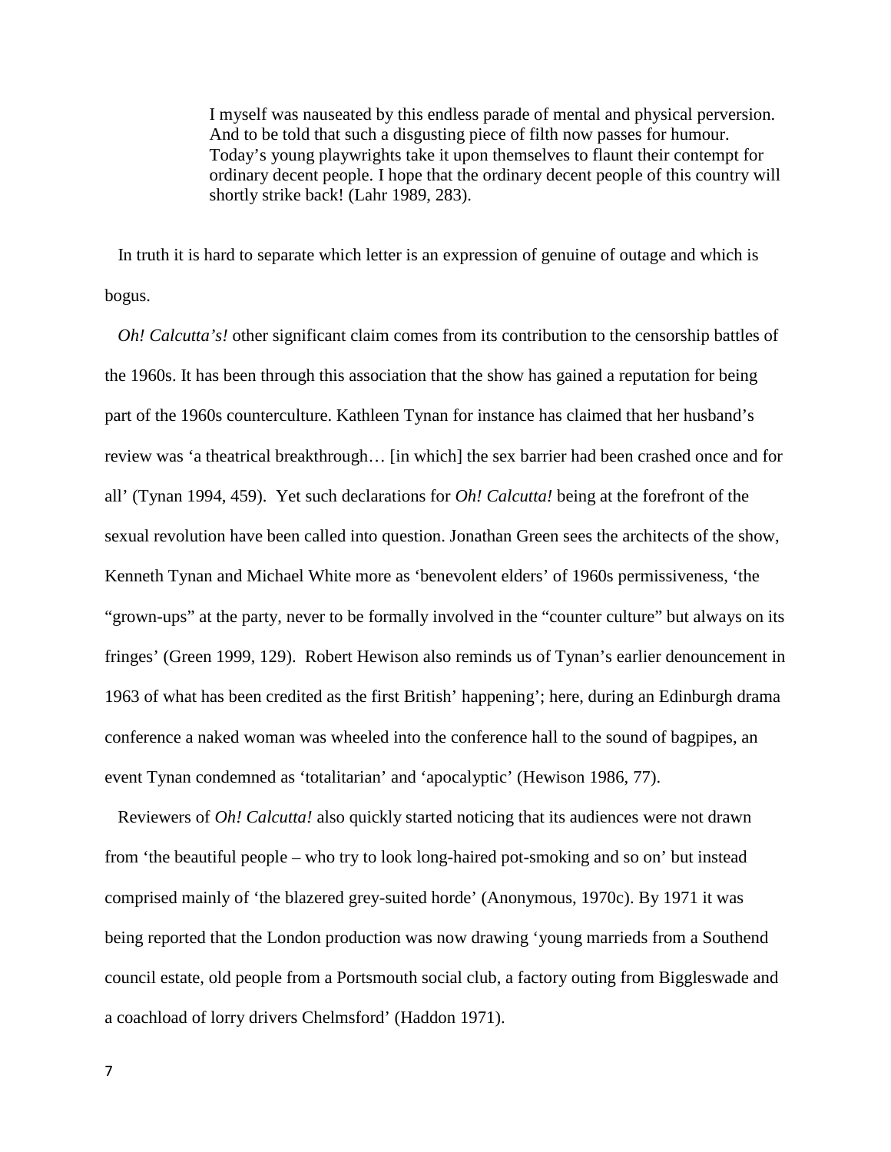I myself was nauseated by this endless parade of mental and physical perversion. And to be told that such a disgusting piece of filth now passes for humour. Today's young playwrights take it upon themselves to flaunt their contempt for ordinary decent people. I hope that the ordinary decent people of this country will shortly strike back! (Lahr 1989, 283).

 In truth it is hard to separate which letter is an expression of genuine of outage and which is bogus.

*Oh! Calcutta's!* other significant claim comes from its contribution to the censorship battles of the 1960s. It has been through this association that the show has gained a reputation for being part of the 1960s counterculture. Kathleen Tynan for instance has claimed that her husband's review was 'a theatrical breakthrough… [in which] the sex barrier had been crashed once and for all' (Tynan 1994, 459). Yet such declarations for *Oh! Calcutta!* being at the forefront of the sexual revolution have been called into question. Jonathan Green sees the architects of the show, Kenneth Tynan and Michael White more as 'benevolent elders' of 1960s permissiveness, 'the "grown-ups" at the party, never to be formally involved in the "counter culture" but always on its fringes' (Green 1999, 129). Robert Hewison also reminds us of Tynan's earlier denouncement in 1963 of what has been credited as the first British' happening'; here, during an Edinburgh drama conference a naked woman was wheeled into the conference hall to the sound of bagpipes, an event Tynan condemned as 'totalitarian' and 'apocalyptic' (Hewison 1986, 77).

 Reviewers of *Oh! Calcutta!* also quickly started noticing that its audiences were not drawn from 'the beautiful people – who try to look long-haired pot-smoking and so on' but instead comprised mainly of 'the blazered grey-suited horde' (Anonymous, 1970c). By 1971 it was being reported that the London production was now drawing 'young marrieds from a Southend council estate, old people from a Portsmouth social club, a factory outing from Biggleswade and a coachload of lorry drivers Chelmsford' (Haddon 1971).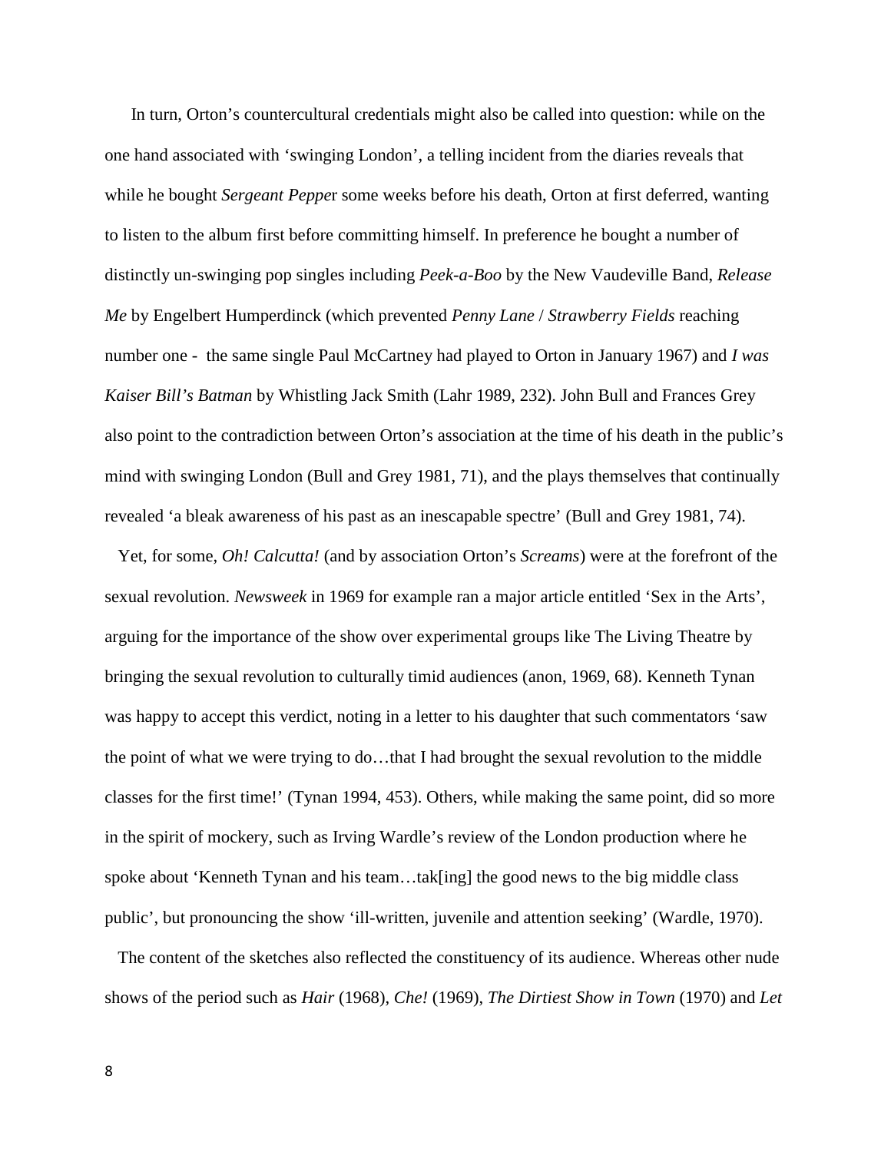In turn, Orton's countercultural credentials might also be called into question: while on the one hand associated with 'swinging London', a telling incident from the diaries reveals that while he bought *Sergeant Peppe*r some weeks before his death, Orton at first deferred, wanting to listen to the album first before committing himself. In preference he bought a number of distinctly un-swinging pop singles including *Peek-a-Boo* by the New Vaudeville Band, *Release Me* by Engelbert Humperdinck (which prevented *Penny Lane* / *Strawberry Fields* reaching number one - the same single Paul McCartney had played to Orton in January 1967) and *I was Kaiser Bill's Batman* by Whistling Jack Smith (Lahr 1989, 232). John Bull and Frances Grey also point to the contradiction between Orton's association at the time of his death in the public's mind with swinging London (Bull and Grey 1981, 71), and the plays themselves that continually revealed 'a bleak awareness of his past as an inescapable spectre' (Bull and Grey 1981, 74).

 Yet, for some, *Oh! Calcutta!* (and by association Orton's *Screams*) were at the forefront of the sexual revolution. *Newsweek* in 1969 for example ran a major article entitled 'Sex in the Arts', arguing for the importance of the show over experimental groups like The Living Theatre by bringing the sexual revolution to culturally timid audiences (anon, 1969, 68). Kenneth Tynan was happy to accept this verdict, noting in a letter to his daughter that such commentators 'saw the point of what we were trying to do…that I had brought the sexual revolution to the middle classes for the first time!' (Tynan 1994, 453). Others, while making the same point, did so more in the spirit of mockery, such as Irving Wardle's review of the London production where he spoke about 'Kenneth Tynan and his team...tak[ing] the good news to the big middle class public', but pronouncing the show 'ill-written, juvenile and attention seeking' (Wardle, 1970).

 The content of the sketches also reflected the constituency of its audience. Whereas other nude shows of the period such as *Hair* (1968), *Che!* (1969), *The Dirtiest Show in Town* (1970) and *Let*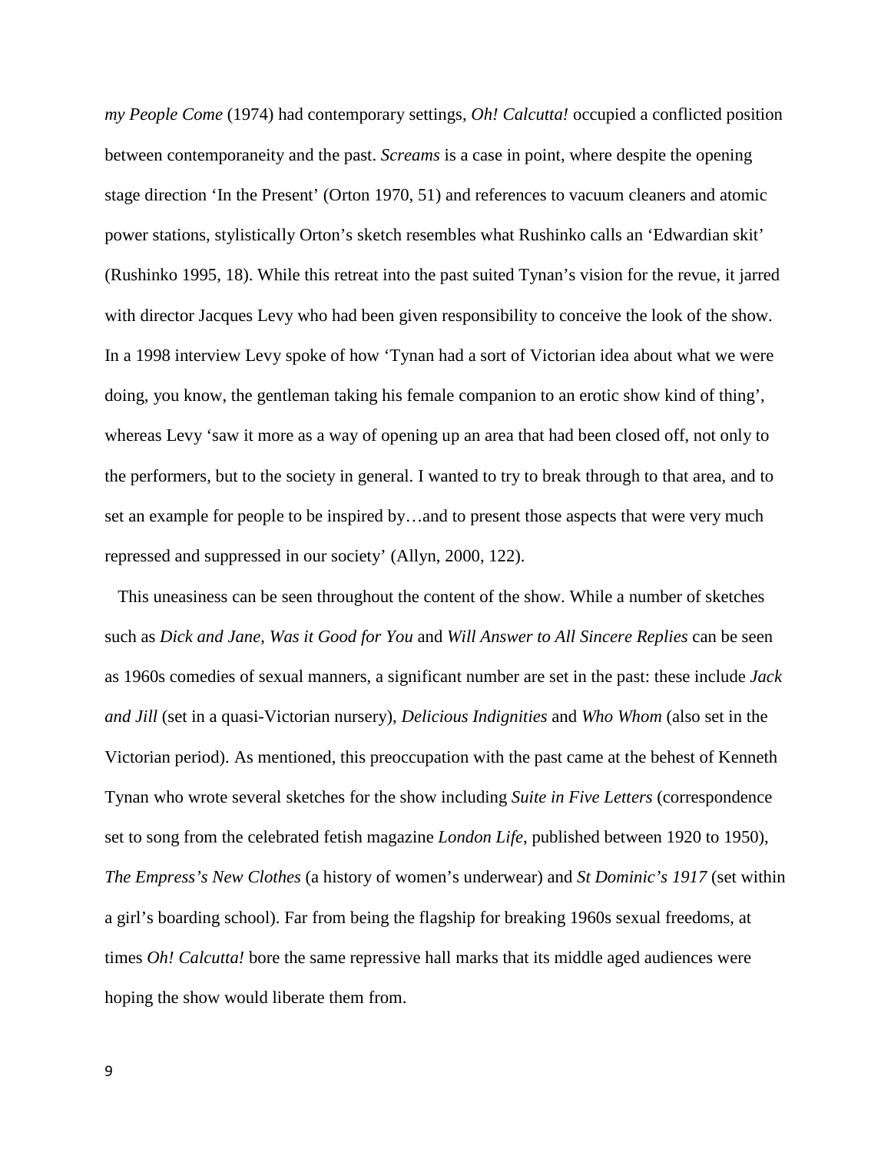*my People Come* (1974) had contemporary settings, *Oh! Calcutta!* occupied a conflicted position between contemporaneity and the past. *Screams* is a case in point, where despite the opening stage direction 'In the Present' (Orton 1970, 51) and references to vacuum cleaners and atomic power stations, stylistically Orton's sketch resembles what Rushinko calls an 'Edwardian skit' (Rushinko 1995, 18). While this retreat into the past suited Tynan's vision for the revue, it jarred with director Jacques Levy who had been given responsibility to conceive the look of the show. In a 1998 interview Levy spoke of how 'Tynan had a sort of Victorian idea about what we were doing, you know, the gentleman taking his female companion to an erotic show kind of thing', whereas Levy 'saw it more as a way of opening up an area that had been closed off, not only to the performers, but to the society in general. I wanted to try to break through to that area, and to set an example for people to be inspired by…and to present those aspects that were very much repressed and suppressed in our society' (Allyn, 2000, 122).

 This uneasiness can be seen throughout the content of the show. While a number of sketches such as *Dick and Jane*, *Was it Good for You* and *Will Answer to All Sincere Replies* can be seen as 1960s comedies of sexual manners, a significant number are set in the past: these include *Jack and Jill* (set in a quasi-Victorian nursery), *Delicious Indignities* and *Who Whom* (also set in the Victorian period). As mentioned, this preoccupation with the past came at the behest of Kenneth Tynan who wrote several sketches for the show including *Suite in Five Letters* (correspondence set to song from the celebrated fetish magazine *London Life*, published between 1920 to 1950), *The Empress's New Clothes* (a history of women's underwear) and *St Dominic's 1917* (set within a girl's boarding school). Far from being the flagship for breaking 1960s sexual freedoms, at times *Oh! Calcutta!* bore the same repressive hall marks that its middle aged audiences were hoping the show would liberate them from.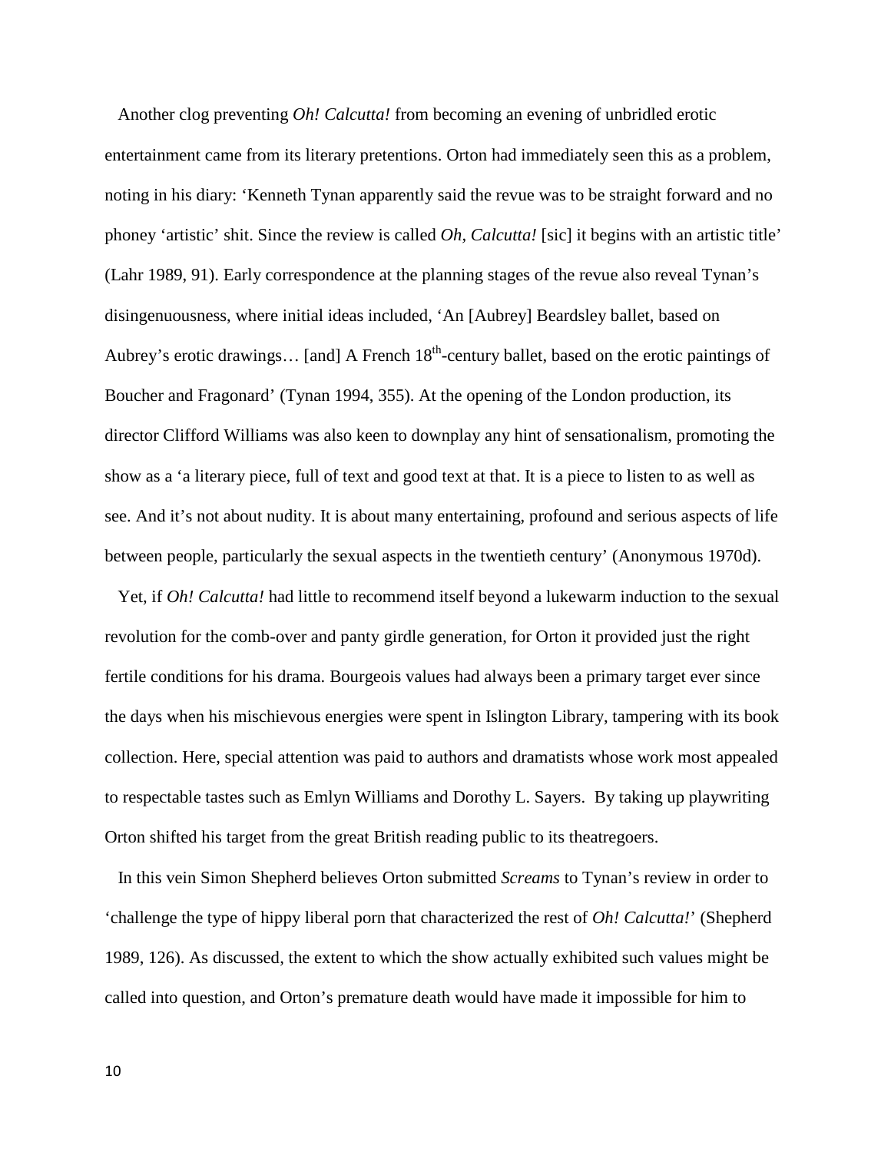Another clog preventing *Oh! Calcutta!* from becoming an evening of unbridled erotic entertainment came from its literary pretentions. Orton had immediately seen this as a problem, noting in his diary: 'Kenneth Tynan apparently said the revue was to be straight forward and no phoney 'artistic' shit. Since the review is called *Oh, Calcutta!* [sic] it begins with an artistic title' (Lahr 1989, 91). Early correspondence at the planning stages of the revue also reveal Tynan's disingenuousness, where initial ideas included, 'An [Aubrey] Beardsley ballet, based on Aubrey's erotic drawings... [and] A French 18<sup>th</sup>-century ballet, based on the erotic paintings of Boucher and Fragonard' (Tynan 1994, 355). At the opening of the London production, its director Clifford Williams was also keen to downplay any hint of sensationalism, promoting the show as a 'a literary piece, full of text and good text at that. It is a piece to listen to as well as see. And it's not about nudity. It is about many entertaining, profound and serious aspects of life between people, particularly the sexual aspects in the twentieth century' (Anonymous 1970d).

 Yet, if *Oh! Calcutta!* had little to recommend itself beyond a lukewarm induction to the sexual revolution for the comb-over and panty girdle generation, for Orton it provided just the right fertile conditions for his drama. Bourgeois values had always been a primary target ever since the days when his mischievous energies were spent in Islington Library, tampering with its book collection. Here, special attention was paid to authors and dramatists whose work most appealed to respectable tastes such as Emlyn Williams and Dorothy L. Sayers. By taking up playwriting Orton shifted his target from the great British reading public to its theatregoers.

 In this vein Simon Shepherd believes Orton submitted *Screams* to Tynan's review in order to 'challenge the type of hippy liberal porn that characterized the rest of *Oh! Calcutta!*' (Shepherd 1989, 126). As discussed, the extent to which the show actually exhibited such values might be called into question, and Orton's premature death would have made it impossible for him to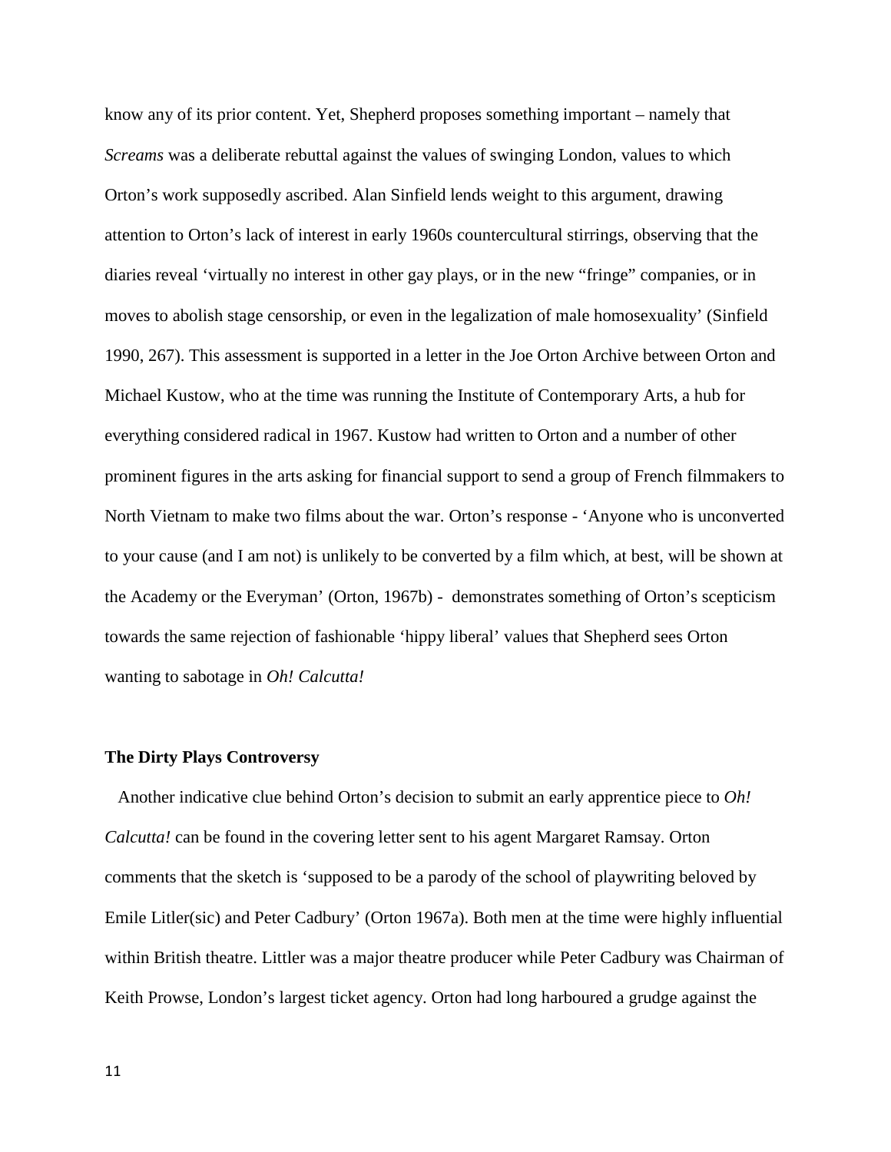know any of its prior content. Yet, Shepherd proposes something important – namely that *Screams* was a deliberate rebuttal against the values of swinging London, values to which Orton's work supposedly ascribed. Alan Sinfield lends weight to this argument, drawing attention to Orton's lack of interest in early 1960s countercultural stirrings, observing that the diaries reveal 'virtually no interest in other gay plays, or in the new "fringe" companies, or in moves to abolish stage censorship, or even in the legalization of male homosexuality' (Sinfield 1990, 267). This assessment is supported in a letter in the Joe Orton Archive between Orton and Michael Kustow, who at the time was running the Institute of Contemporary Arts, a hub for everything considered radical in 1967. Kustow had written to Orton and a number of other prominent figures in the arts asking for financial support to send a group of French filmmakers to North Vietnam to make two films about the war. Orton's response - 'Anyone who is unconverted to your cause (and I am not) is unlikely to be converted by a film which, at best, will be shown at the Academy or the Everyman' (Orton, 1967b) - demonstrates something of Orton's scepticism towards the same rejection of fashionable 'hippy liberal' values that Shepherd sees Orton wanting to sabotage in *Oh! Calcutta!*

## **The Dirty Plays Controversy**

 Another indicative clue behind Orton's decision to submit an early apprentice piece to *Oh! Calcutta!* can be found in the covering letter sent to his agent Margaret Ramsay. Orton comments that the sketch is 'supposed to be a parody of the school of playwriting beloved by Emile Litler(sic) and Peter Cadbury' (Orton 1967a). Both men at the time were highly influential within British theatre. Littler was a major theatre producer while Peter Cadbury was Chairman of Keith Prowse, London's largest ticket agency. Orton had long harboured a grudge against the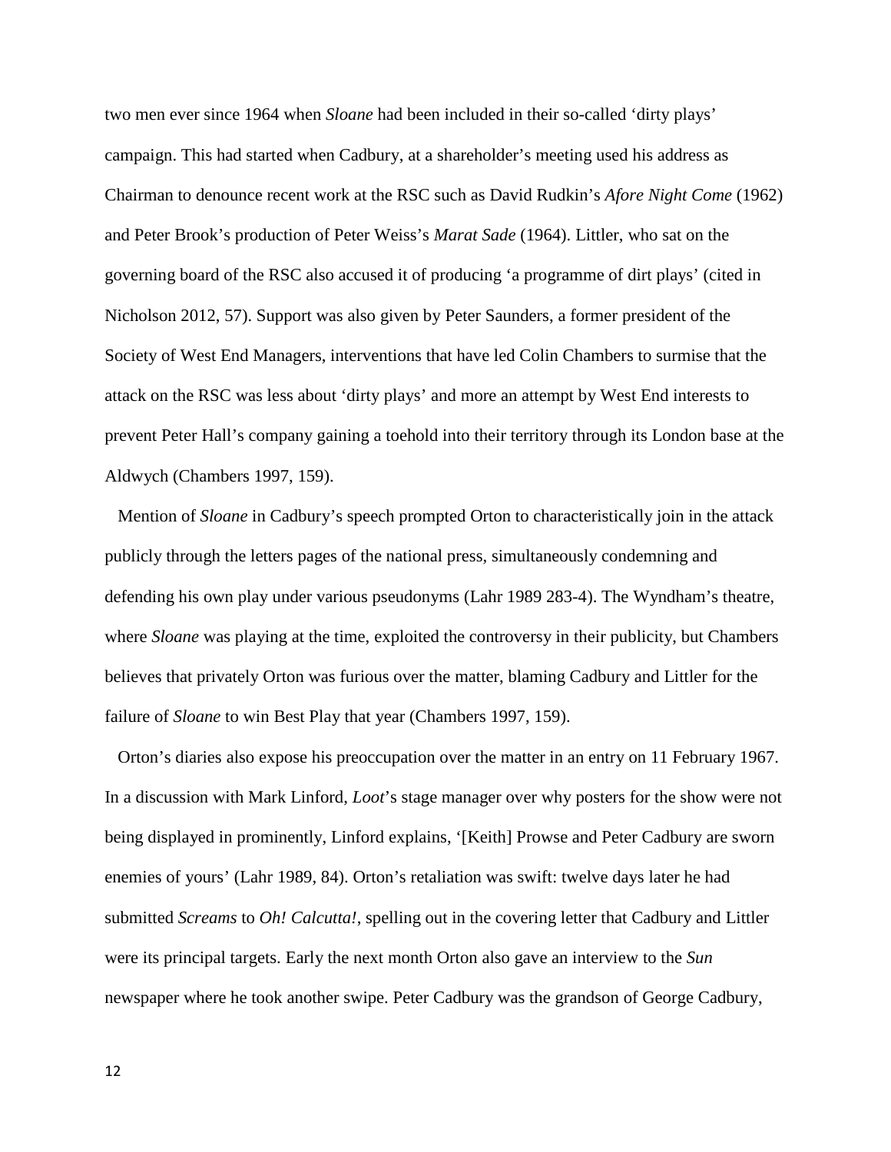two men ever since 1964 when *Sloane* had been included in their so-called 'dirty plays' campaign. This had started when Cadbury, at a shareholder's meeting used his address as Chairman to denounce recent work at the RSC such as David Rudkin's *Afore Night Come* (1962) and Peter Brook's production of Peter Weiss's *Marat Sade* (1964). Littler, who sat on the governing board of the RSC also accused it of producing 'a programme of dirt plays' (cited in Nicholson 2012, 57). Support was also given by Peter Saunders, a former president of the Society of West End Managers, interventions that have led Colin Chambers to surmise that the attack on the RSC was less about 'dirty plays' and more an attempt by West End interests to prevent Peter Hall's company gaining a toehold into their territory through its London base at the Aldwych (Chambers 1997, 159).

 Mention of *Sloane* in Cadbury's speech prompted Orton to characteristically join in the attack publicly through the letters pages of the national press, simultaneously condemning and defending his own play under various pseudonyms (Lahr 1989 283-4). The Wyndham's theatre, where *Sloane* was playing at the time, exploited the controversy in their publicity, but Chambers believes that privately Orton was furious over the matter, blaming Cadbury and Littler for the failure of *Sloane* to win Best Play that year (Chambers 1997, 159).

 Orton's diaries also expose his preoccupation over the matter in an entry on 11 February 1967. In a discussion with Mark Linford, *Loot*'s stage manager over why posters for the show were not being displayed in prominently, Linford explains, '[Keith] Prowse and Peter Cadbury are sworn enemies of yours' (Lahr 1989, 84). Orton's retaliation was swift: twelve days later he had submitted *Screams* to *Oh! Calcutta!*, spelling out in the covering letter that Cadbury and Littler were its principal targets. Early the next month Orton also gave an interview to the *Sun* newspaper where he took another swipe. Peter Cadbury was the grandson of George Cadbury,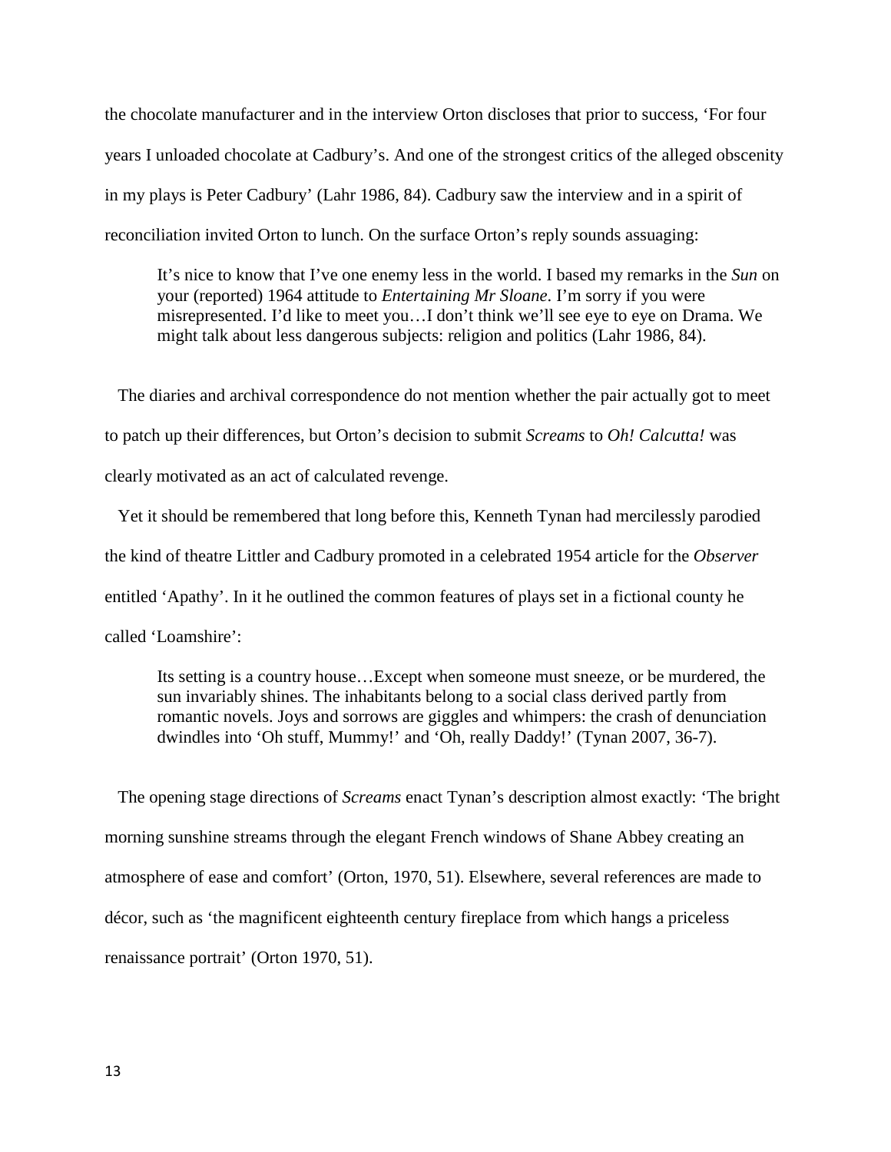the chocolate manufacturer and in the interview Orton discloses that prior to success, 'For four years I unloaded chocolate at Cadbury's. And one of the strongest critics of the alleged obscenity in my plays is Peter Cadbury' (Lahr 1986, 84). Cadbury saw the interview and in a spirit of reconciliation invited Orton to lunch. On the surface Orton's reply sounds assuaging:

It's nice to know that I've one enemy less in the world. I based my remarks in the *Sun* on your (reported) 1964 attitude to *Entertaining Mr Sloane*. I'm sorry if you were misrepresented. I'd like to meet you…I don't think we'll see eye to eye on Drama. We might talk about less dangerous subjects: religion and politics (Lahr 1986, 84).

 The diaries and archival correspondence do not mention whether the pair actually got to meet to patch up their differences, but Orton's decision to submit *Screams* to *Oh! Calcutta!* was clearly motivated as an act of calculated revenge.

 Yet it should be remembered that long before this, Kenneth Tynan had mercilessly parodied the kind of theatre Littler and Cadbury promoted in a celebrated 1954 article for the *Observer* entitled 'Apathy'. In it he outlined the common features of plays set in a fictional county he called 'Loamshire':

Its setting is a country house…Except when someone must sneeze, or be murdered, the sun invariably shines. The inhabitants belong to a social class derived partly from romantic novels. Joys and sorrows are giggles and whimpers: the crash of denunciation dwindles into 'Oh stuff, Mummy!' and 'Oh, really Daddy!' (Tynan 2007, 36-7).

 The opening stage directions of *Screams* enact Tynan's description almost exactly: 'The bright morning sunshine streams through the elegant French windows of Shane Abbey creating an atmosphere of ease and comfort' (Orton, 1970, 51). Elsewhere, several references are made to décor, such as 'the magnificent eighteenth century fireplace from which hangs a priceless renaissance portrait' (Orton 1970, 51).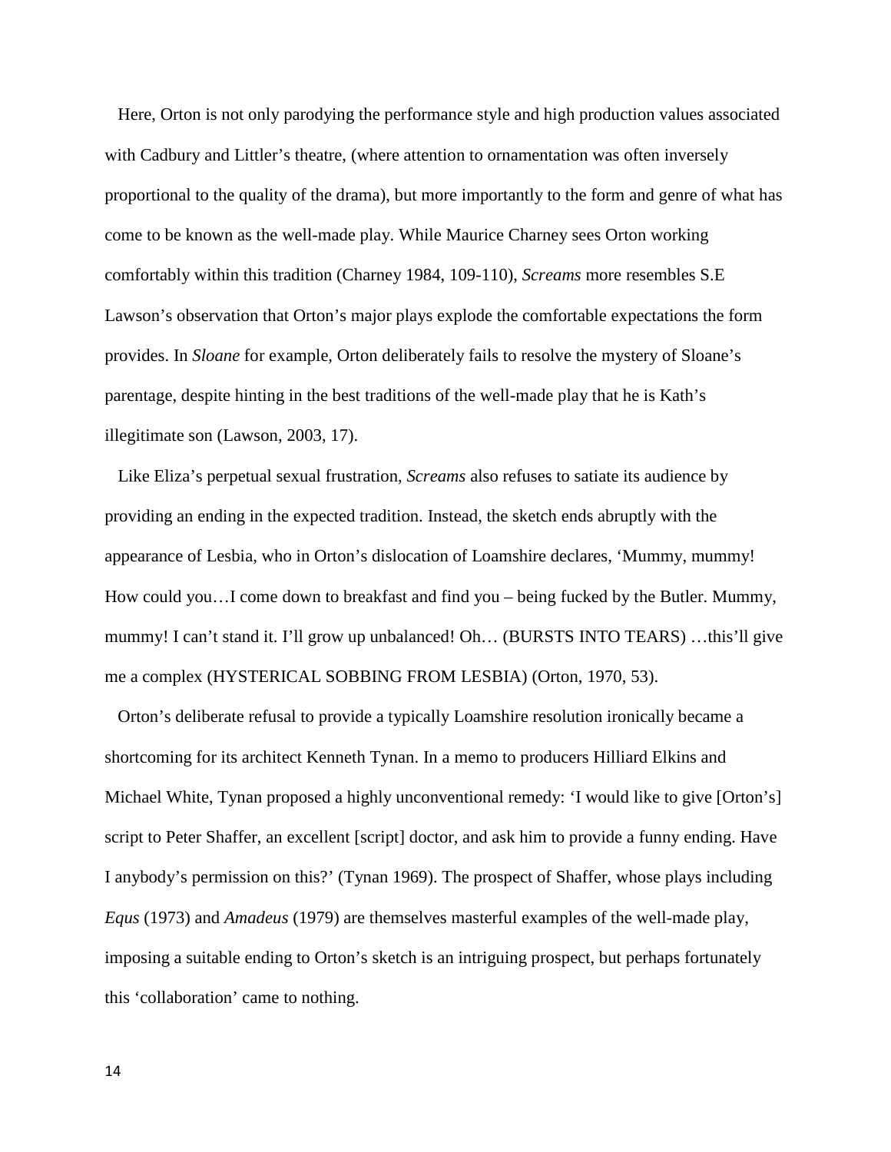Here, Orton is not only parodying the performance style and high production values associated with Cadbury and Littler's theatre, (where attention to ornamentation was often inversely proportional to the quality of the drama), but more importantly to the form and genre of what has come to be known as the well-made play. While Maurice Charney sees Orton working comfortably within this tradition (Charney 1984, 109-110), *Screams* more resembles S.E Lawson's observation that Orton's major plays explode the comfortable expectations the form provides. In *Sloane* for example, Orton deliberately fails to resolve the mystery of Sloane's parentage, despite hinting in the best traditions of the well-made play that he is Kath's illegitimate son (Lawson, 2003, 17).

 Like Eliza's perpetual sexual frustration, *Screams* also refuses to satiate its audience by providing an ending in the expected tradition. Instead, the sketch ends abruptly with the appearance of Lesbia, who in Orton's dislocation of Loamshire declares, 'Mummy, mummy! How could you…I come down to breakfast and find you – being fucked by the Butler. Mummy, mummy! I can't stand it. I'll grow up unbalanced! Oh… (BURSTS INTO TEARS) …this'll give me a complex (HYSTERICAL SOBBING FROM LESBIA) (Orton, 1970, 53).

 Orton's deliberate refusal to provide a typically Loamshire resolution ironically became a shortcoming for its architect Kenneth Tynan. In a memo to producers Hilliard Elkins and Michael White, Tynan proposed a highly unconventional remedy: 'I would like to give [Orton's] script to Peter Shaffer, an excellent [script] doctor, and ask him to provide a funny ending. Have I anybody's permission on this?' (Tynan 1969). The prospect of Shaffer, whose plays including *Equs* (1973) and *Amadeus* (1979) are themselves masterful examples of the well-made play, imposing a suitable ending to Orton's sketch is an intriguing prospect, but perhaps fortunately this 'collaboration' came to nothing.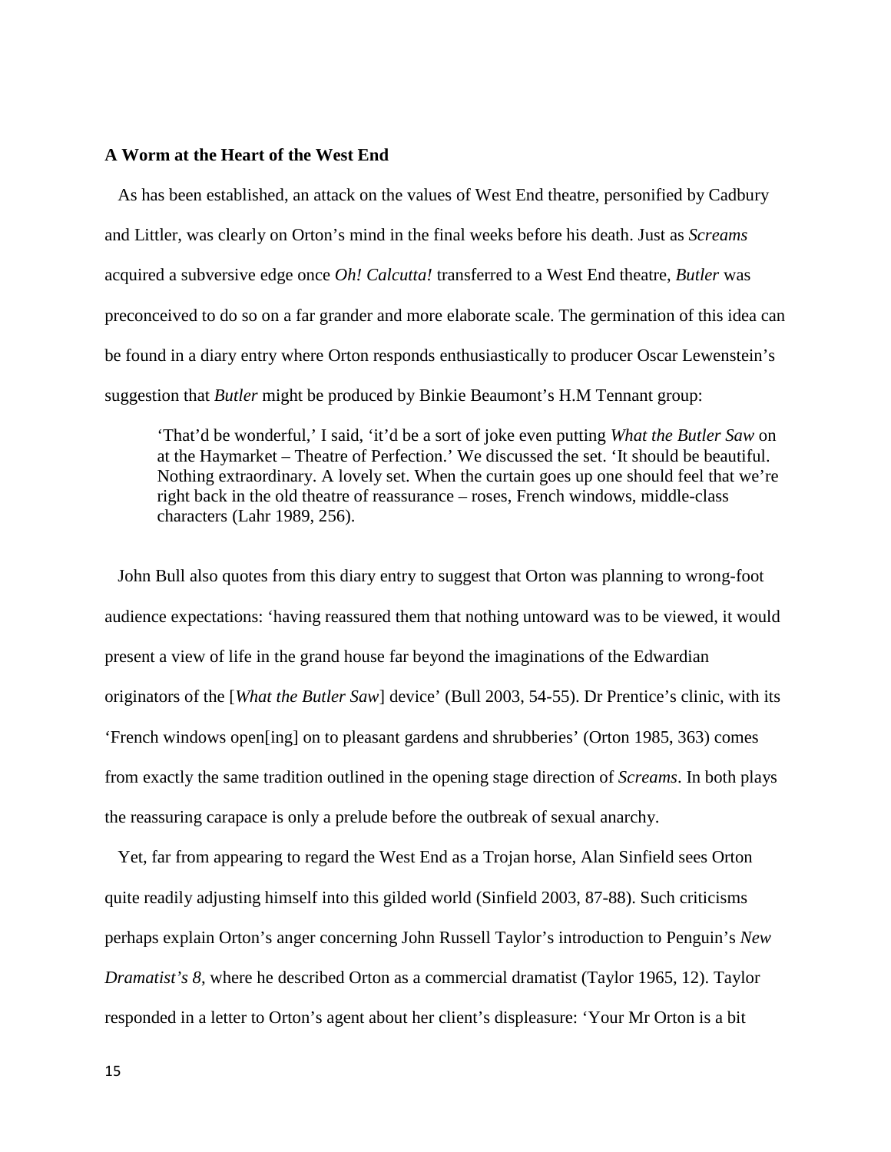# **A Worm at the Heart of the West End**

 As has been established, an attack on the values of West End theatre, personified by Cadbury and Littler, was clearly on Orton's mind in the final weeks before his death. Just as *Screams*  acquired a subversive edge once *Oh! Calcutta!* transferred to a West End theatre, *Butler* was preconceived to do so on a far grander and more elaborate scale. The germination of this idea can be found in a diary entry where Orton responds enthusiastically to producer Oscar Lewenstein's suggestion that *Butler* might be produced by Binkie Beaumont's H.M Tennant group:

'That'd be wonderful,' I said, 'it'd be a sort of joke even putting *What the Butler Saw* on at the Haymarket – Theatre of Perfection.' We discussed the set. 'It should be beautiful. Nothing extraordinary. A lovely set. When the curtain goes up one should feel that we're right back in the old theatre of reassurance – roses, French windows, middle-class characters (Lahr 1989, 256).

 John Bull also quotes from this diary entry to suggest that Orton was planning to wrong-foot audience expectations: 'having reassured them that nothing untoward was to be viewed, it would present a view of life in the grand house far beyond the imaginations of the Edwardian originators of the [*What the Butler Saw*] device' (Bull 2003, 54-55). Dr Prentice's clinic, with its 'French windows open[ing] on to pleasant gardens and shrubberies' (Orton 1985, 363) comes from exactly the same tradition outlined in the opening stage direction of *Screams*. In both plays the reassuring carapace is only a prelude before the outbreak of sexual anarchy.

 Yet, far from appearing to regard the West End as a Trojan horse, Alan Sinfield sees Orton quite readily adjusting himself into this gilded world (Sinfield 2003, 87-88). Such criticisms perhaps explain Orton's anger concerning John Russell Taylor's introduction to Penguin's *New Dramatist's 8*, where he described Orton as a commercial dramatist (Taylor 1965, 12). Taylor responded in a letter to Orton's agent about her client's displeasure: 'Your Mr Orton is a bit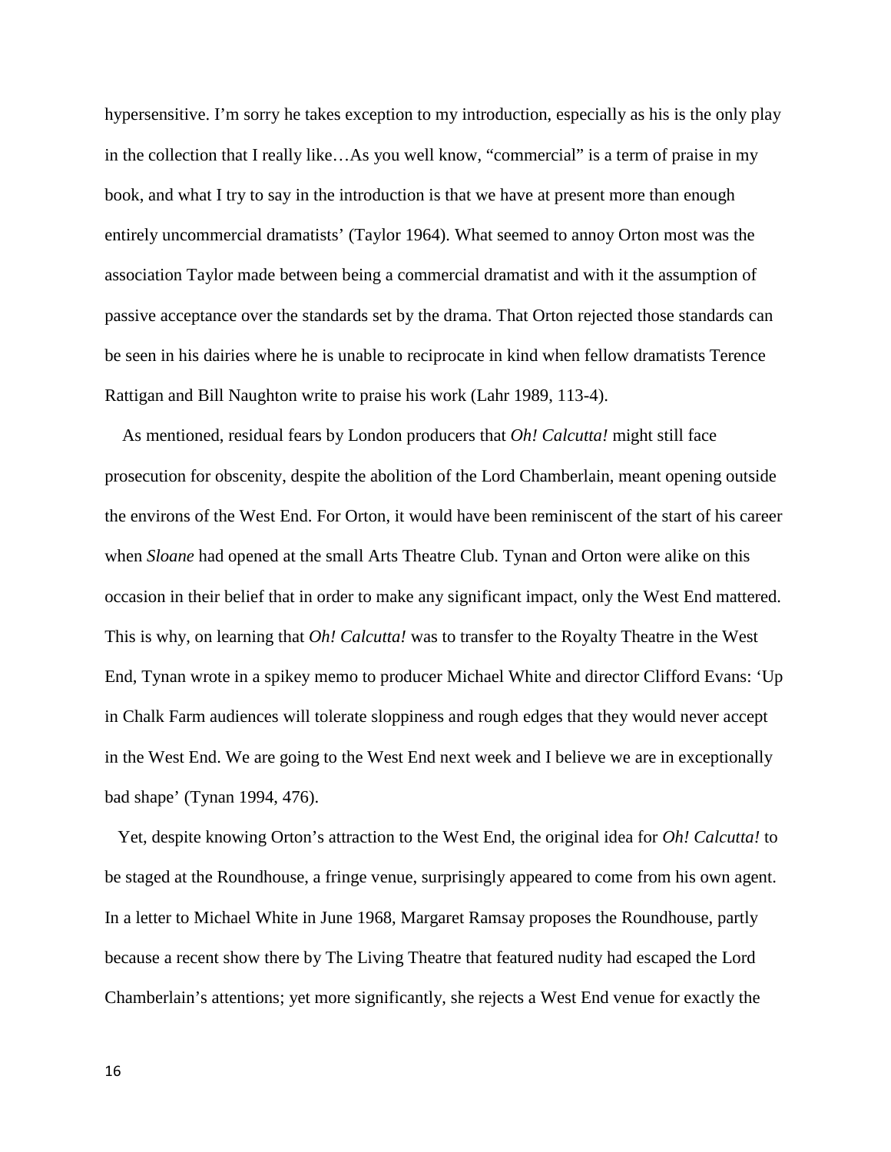hypersensitive. I'm sorry he takes exception to my introduction, especially as his is the only play in the collection that I really like…As you well know, "commercial" is a term of praise in my book, and what I try to say in the introduction is that we have at present more than enough entirely uncommercial dramatists' (Taylor 1964). What seemed to annoy Orton most was the association Taylor made between being a commercial dramatist and with it the assumption of passive acceptance over the standards set by the drama. That Orton rejected those standards can be seen in his dairies where he is unable to reciprocate in kind when fellow dramatists Terence Rattigan and Bill Naughton write to praise his work (Lahr 1989, 113-4).

As mentioned, residual fears by London producers that *Oh! Calcutta!* might still face prosecution for obscenity, despite the abolition of the Lord Chamberlain, meant opening outside the environs of the West End. For Orton, it would have been reminiscent of the start of his career when *Sloane* had opened at the small Arts Theatre Club. Tynan and Orton were alike on this occasion in their belief that in order to make any significant impact, only the West End mattered. This is why, on learning that *Oh! Calcutta!* was to transfer to the Royalty Theatre in the West End, Tynan wrote in a spikey memo to producer Michael White and director Clifford Evans: 'Up in Chalk Farm audiences will tolerate sloppiness and rough edges that they would never accept in the West End. We are going to the West End next week and I believe we are in exceptionally bad shape' (Tynan 1994, 476).

 Yet, despite knowing Orton's attraction to the West End, the original idea for *Oh! Calcutta!* to be staged at the Roundhouse, a fringe venue, surprisingly appeared to come from his own agent. In a letter to Michael White in June 1968, Margaret Ramsay proposes the Roundhouse, partly because a recent show there by The Living Theatre that featured nudity had escaped the Lord Chamberlain's attentions; yet more significantly, she rejects a West End venue for exactly the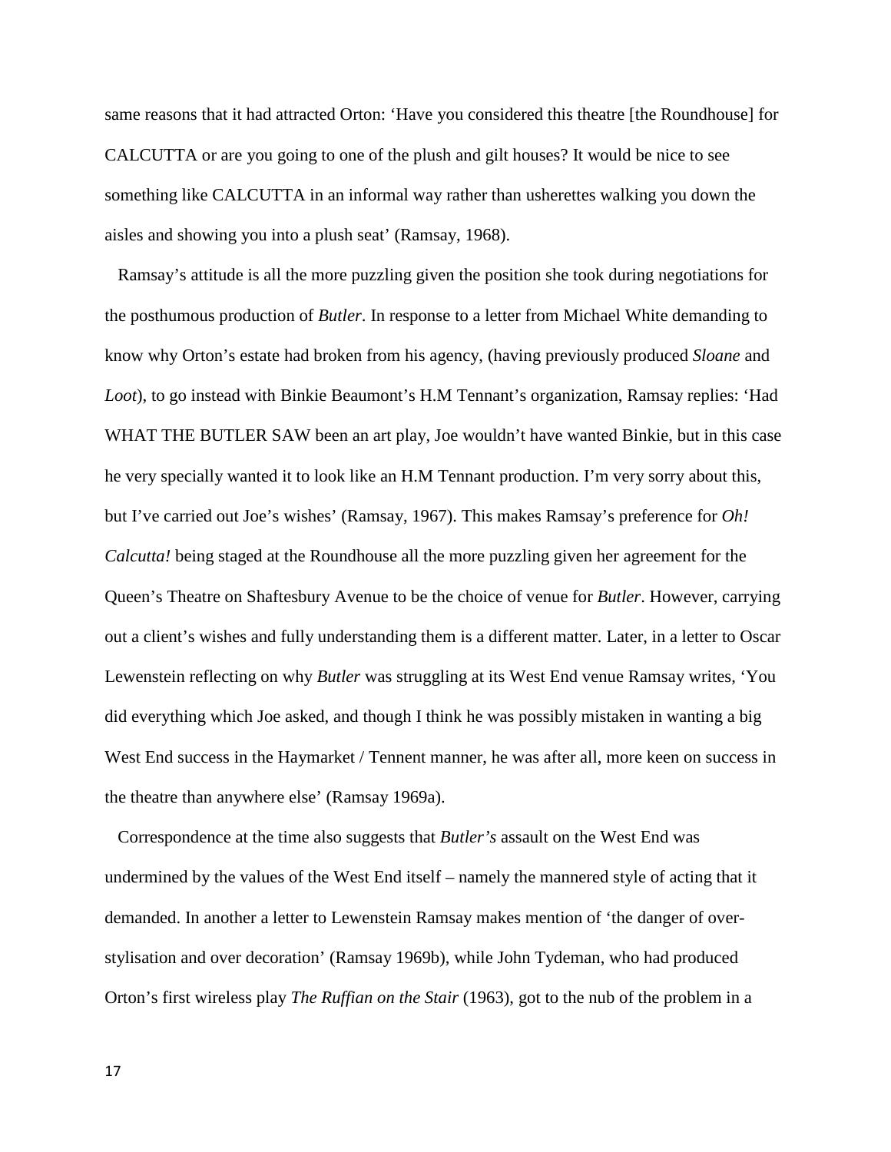same reasons that it had attracted Orton: 'Have you considered this theatre [the Roundhouse] for CALCUTTA or are you going to one of the plush and gilt houses? It would be nice to see something like CALCUTTA in an informal way rather than usherettes walking you down the aisles and showing you into a plush seat' (Ramsay, 1968).

 Ramsay's attitude is all the more puzzling given the position she took during negotiations for the posthumous production of *Butler*. In response to a letter from Michael White demanding to know why Orton's estate had broken from his agency, (having previously produced *Sloane* and *Loot*), to go instead with Binkie Beaumont's H.M Tennant's organization, Ramsay replies: 'Had WHAT THE BUTLER SAW been an art play, Joe wouldn't have wanted Binkie, but in this case he very specially wanted it to look like an H.M Tennant production. I'm very sorry about this, but I've carried out Joe's wishes' (Ramsay, 1967). This makes Ramsay's preference for *Oh! Calcutta!* being staged at the Roundhouse all the more puzzling given her agreement for the Queen's Theatre on Shaftesbury Avenue to be the choice of venue for *Butler*. However, carrying out a client's wishes and fully understanding them is a different matter. Later, in a letter to Oscar Lewenstein reflecting on why *Butler* was struggling at its West End venue Ramsay writes, 'You did everything which Joe asked, and though I think he was possibly mistaken in wanting a big West End success in the Haymarket / Tennent manner, he was after all, more keen on success in the theatre than anywhere else' (Ramsay 1969a).

 Correspondence at the time also suggests that *Butler's* assault on the West End was undermined by the values of the West End itself – namely the mannered style of acting that it demanded. In another a letter to Lewenstein Ramsay makes mention of 'the danger of overstylisation and over decoration' (Ramsay 1969b), while John Tydeman, who had produced Orton's first wireless play *The Ruffian on the Stair* (1963), got to the nub of the problem in a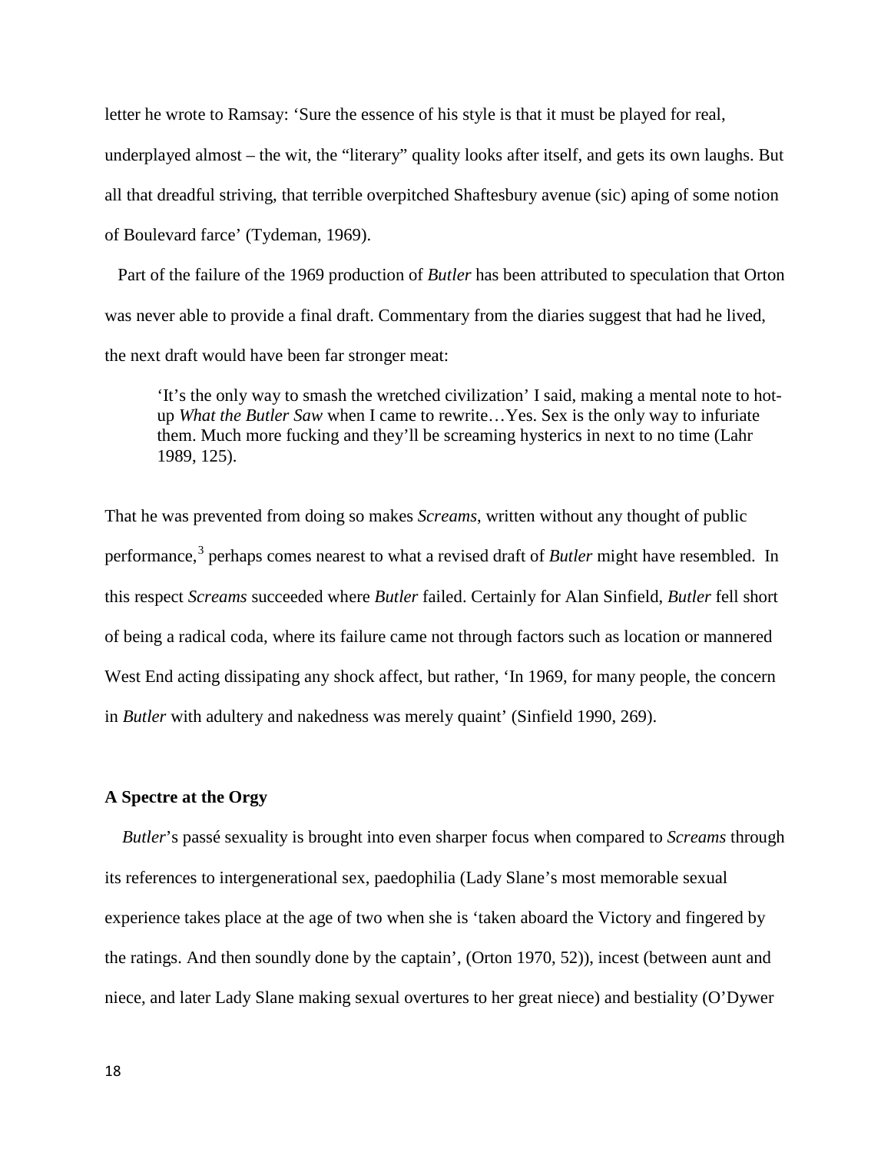letter he wrote to Ramsay: 'Sure the essence of his style is that it must be played for real, underplayed almost – the wit, the "literary" quality looks after itself, and gets its own laughs. But all that dreadful striving, that terrible overpitched Shaftesbury avenue (sic) aping of some notion of Boulevard farce' (Tydeman, 1969).

 Part of the failure of the 1969 production of *Butler* has been attributed to speculation that Orton was never able to provide a final draft. Commentary from the diaries suggest that had he lived, the next draft would have been far stronger meat:

'It's the only way to smash the wretched civilization' I said, making a mental note to hotup *What the Butler Saw* when I came to rewrite…Yes. Sex is the only way to infuriate them. Much more fucking and they'll be screaming hysterics in next to no time (Lahr 1989, 125).

That he was prevented from doing so makes *Screams*, written without any thought of public performance,<sup>[3](#page-29-2)</sup> perhaps comes nearest to what a revised draft of *Butler* might have resembled. In this respect *Screams* succeeded where *Butler* failed. Certainly for Alan Sinfield, *Butler* fell short of being a radical coda, where its failure came not through factors such as location or mannered West End acting dissipating any shock affect, but rather, 'In 1969, for many people, the concern in *Butler* with adultery and nakedness was merely quaint' (Sinfield 1990, 269).

#### **A Spectre at the Orgy**

 *Butler*'s passé sexuality is brought into even sharper focus when compared to *Screams* through its references to intergenerational sex, paedophilia (Lady Slane's most memorable sexual experience takes place at the age of two when she is 'taken aboard the Victory and fingered by the ratings. And then soundly done by the captain', (Orton 1970, 52)), incest (between aunt and niece, and later Lady Slane making sexual overtures to her great niece) and bestiality (O'Dywer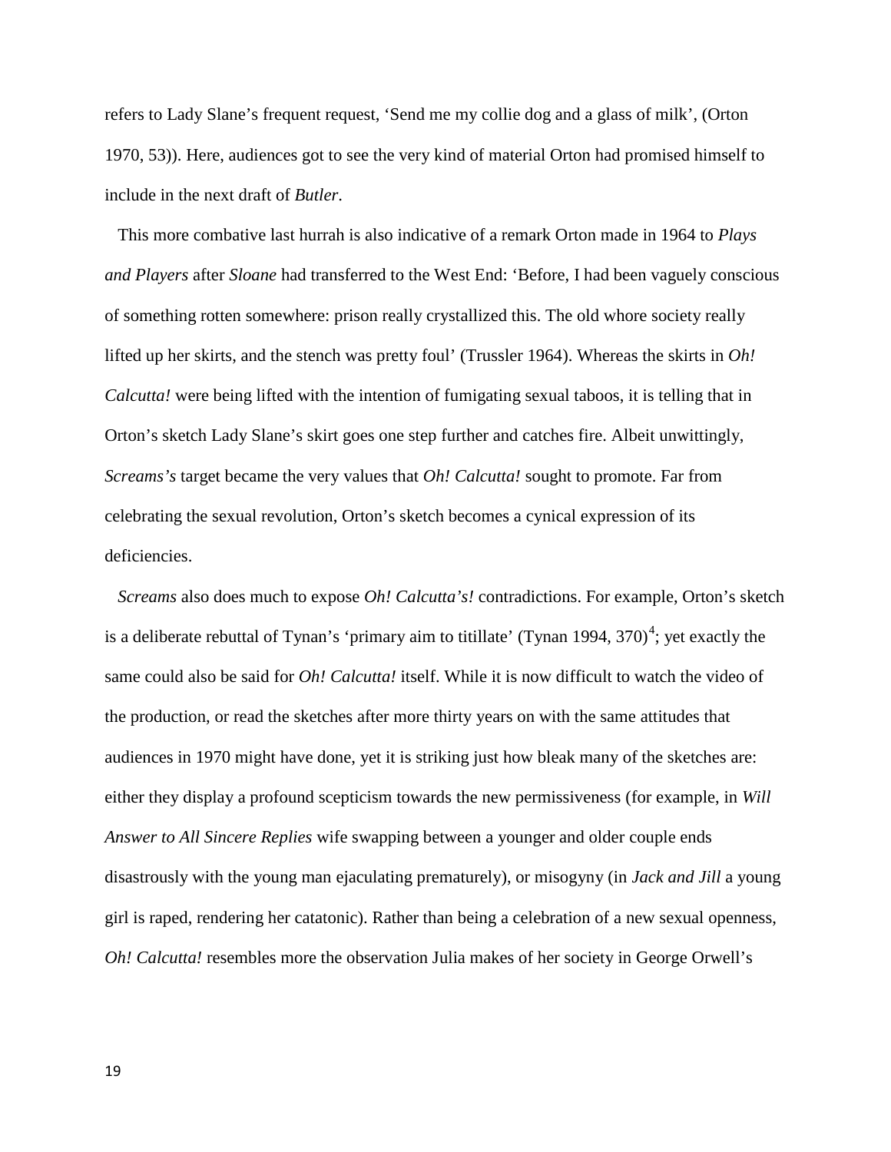refers to Lady Slane's frequent request, 'Send me my collie dog and a glass of milk', (Orton 1970, 53)). Here, audiences got to see the very kind of material Orton had promised himself to include in the next draft of *Butler*.

 This more combative last hurrah is also indicative of a remark Orton made in 1964 to *Plays and Players* after *Sloane* had transferred to the West End: 'Before, I had been vaguely conscious of something rotten somewhere: prison really crystallized this. The old whore society really lifted up her skirts, and the stench was pretty foul' (Trussler 1964). Whereas the skirts in *Oh! Calcutta!* were being lifted with the intention of fumigating sexual taboos, it is telling that in Orton's sketch Lady Slane's skirt goes one step further and catches fire. Albeit unwittingly, *Screams's* target became the very values that *Oh! Calcutta!* sought to promote. Far from celebrating the sexual revolution, Orton's sketch becomes a cynical expression of its deficiencies.

 *Screams* also does much to expose *Oh! Calcutta's!* contradictions. For example, Orton's sketch is a deliberate rebuttal of Tynan's 'primary aim to titillate' (Tynan 199[4](#page-29-3), 370)<sup>4</sup>; yet exactly the same could also be said for *Oh! Calcutta!* itself. While it is now difficult to watch the video of the production, or read the sketches after more thirty years on with the same attitudes that audiences in 1970 might have done, yet it is striking just how bleak many of the sketches are: either they display a profound scepticism towards the new permissiveness (for example, in *Will Answer to All Sincere Replies* wife swapping between a younger and older couple ends disastrously with the young man ejaculating prematurely), or misogyny (in *Jack and Jill* a young girl is raped, rendering her catatonic). Rather than being a celebration of a new sexual openness, *Oh! Calcutta!* resembles more the observation Julia makes of her society in George Orwell's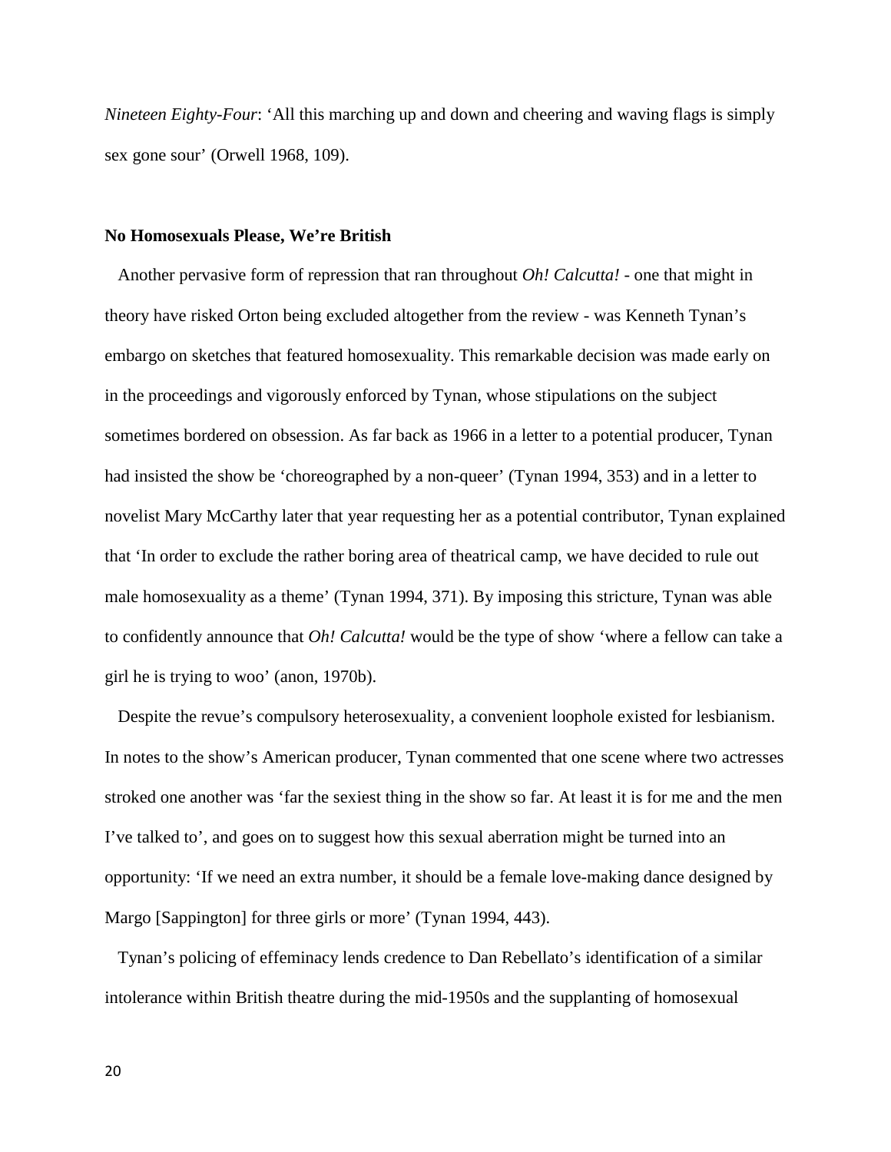*Nineteen Eighty-Four*: 'All this marching up and down and cheering and waving flags is simply sex gone sour' (Orwell 1968, 109).

#### **No Homosexuals Please, We're British**

 Another pervasive form of repression that ran throughout *Oh! Calcutta!* - one that might in theory have risked Orton being excluded altogether from the review - was Kenneth Tynan's embargo on sketches that featured homosexuality. This remarkable decision was made early on in the proceedings and vigorously enforced by Tynan, whose stipulations on the subject sometimes bordered on obsession. As far back as 1966 in a letter to a potential producer, Tynan had insisted the show be 'choreographed by a non-queer' (Tynan 1994, 353) and in a letter to novelist Mary McCarthy later that year requesting her as a potential contributor, Tynan explained that 'In order to exclude the rather boring area of theatrical camp, we have decided to rule out male homosexuality as a theme' (Tynan 1994, 371). By imposing this stricture, Tynan was able to confidently announce that *Oh! Calcutta!* would be the type of show 'where a fellow can take a girl he is trying to woo' (anon, 1970b).

 Despite the revue's compulsory heterosexuality, a convenient loophole existed for lesbianism. In notes to the show's American producer, Tynan commented that one scene where two actresses stroked one another was 'far the sexiest thing in the show so far. At least it is for me and the men I've talked to', and goes on to suggest how this sexual aberration might be turned into an opportunity: 'If we need an extra number, it should be a female love-making dance designed by Margo [Sappington] for three girls or more' (Tynan 1994, 443).

 Tynan's policing of effeminacy lends credence to Dan Rebellato's identification of a similar intolerance within British theatre during the mid-1950s and the supplanting of homosexual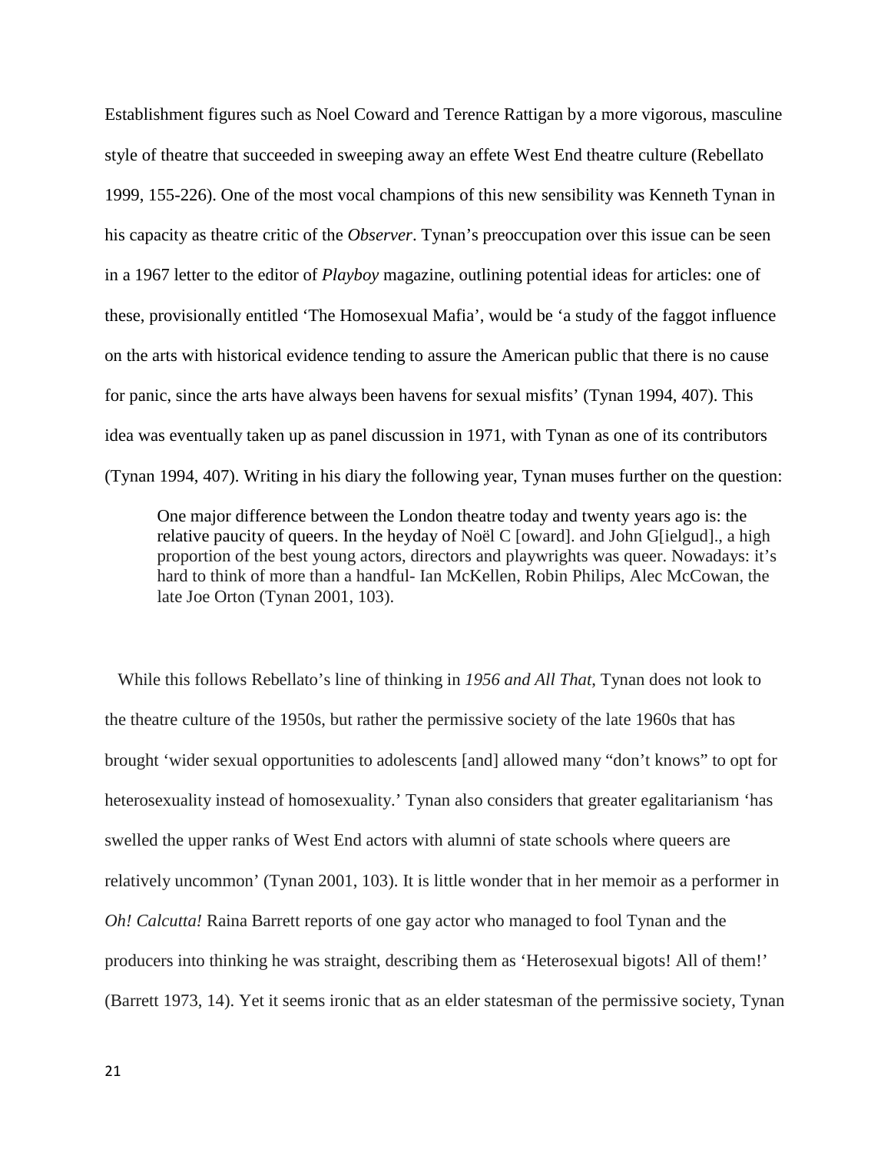Establishment figures such as Noel Coward and Terence Rattigan by a more vigorous, masculine style of theatre that succeeded in sweeping away an effete West End theatre culture (Rebellato 1999, 155-226). One of the most vocal champions of this new sensibility was Kenneth Tynan in his capacity as theatre critic of the *Observer*. Tynan's preoccupation over this issue can be seen in a 1967 letter to the editor of *Playboy* magazine, outlining potential ideas for articles: one of these, provisionally entitled 'The Homosexual Mafia', would be 'a study of the faggot influence on the arts with historical evidence tending to assure the American public that there is no cause for panic, since the arts have always been havens for sexual misfits' (Tynan 1994, 407). This idea was eventually taken up as panel discussion in 1971, with Tynan as one of its contributors (Tynan 1994, 407). Writing in his diary the following year, Tynan muses further on the question:

One major difference between the London theatre today and twenty years ago is: the relative paucity of queers. In the heyday of Noël C [oward]. and John G[ielgud]., a high proportion of the best young actors, directors and playwrights was queer. Nowadays: it's hard to think of more than a handful- Ian McKellen, Robin Philips, Alec McCowan, the late Joe Orton (Tynan 2001, 103).

 While this follows Rebellato's line of thinking in *1956 and All That*, Tynan does not look to the theatre culture of the 1950s, but rather the permissive society of the late 1960s that has brought 'wider sexual opportunities to adolescents [and] allowed many "don't knows" to opt for heterosexuality instead of homosexuality.' Tynan also considers that greater egalitarianism 'has swelled the upper ranks of West End actors with alumni of state schools where queers are relatively uncommon' (Tynan 2001, 103). It is little wonder that in her memoir as a performer in *Oh! Calcutta!* Raina Barrett reports of one gay actor who managed to fool Tynan and the producers into thinking he was straight, describing them as 'Heterosexual bigots! All of them!' (Barrett 1973, 14). Yet it seems ironic that as an elder statesman of the permissive society, Tynan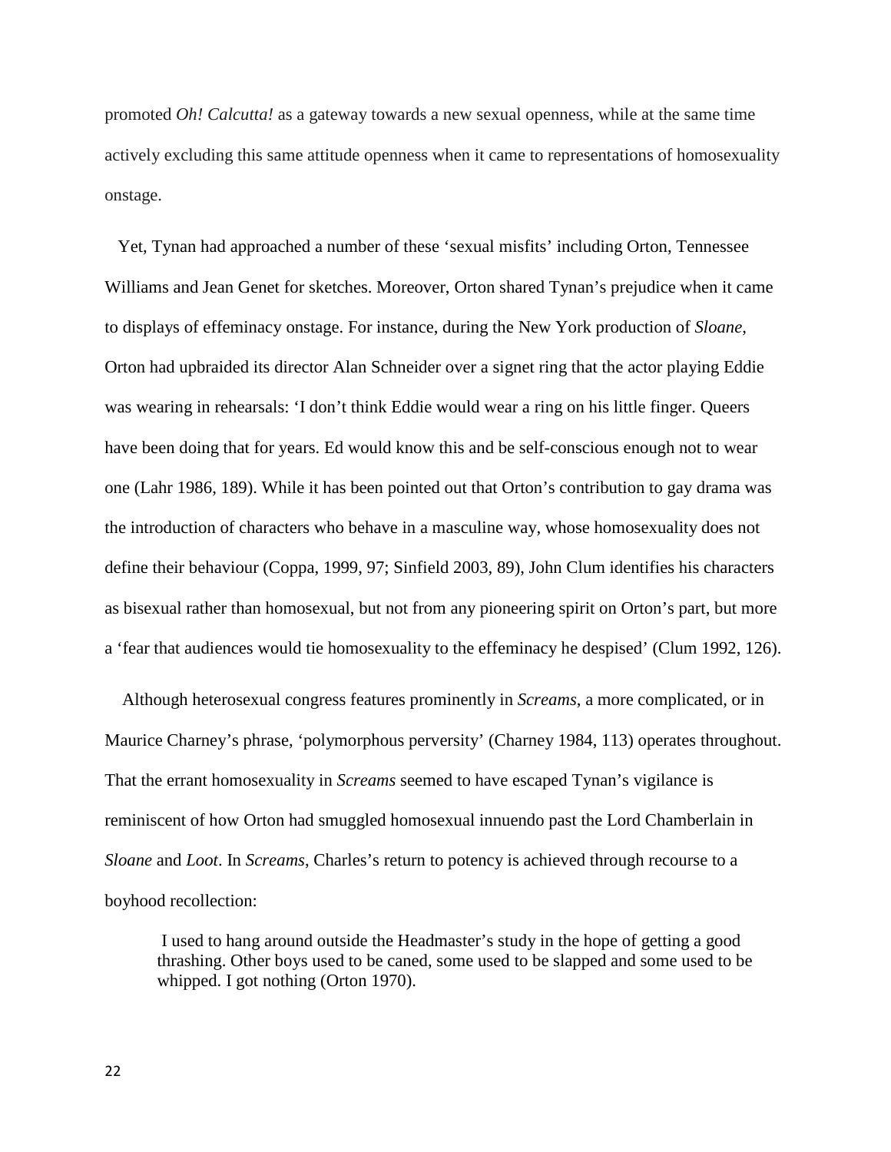promoted *Oh! Calcutta!* as a gateway towards a new sexual openness, while at the same time actively excluding this same attitude openness when it came to representations of homosexuality onstage.

 Yet, Tynan had approached a number of these 'sexual misfits' including Orton, Tennessee Williams and Jean Genet for sketches. Moreover, Orton shared Tynan's prejudice when it came to displays of effeminacy onstage. For instance, during the New York production of *Sloane*, Orton had upbraided its director Alan Schneider over a signet ring that the actor playing Eddie was wearing in rehearsals: 'I don't think Eddie would wear a ring on his little finger. Queers have been doing that for years. Ed would know this and be self-conscious enough not to wear one (Lahr 1986, 189). While it has been pointed out that Orton's contribution to gay drama was the introduction of characters who behave in a masculine way, whose homosexuality does not define their behaviour (Coppa, 1999, 97; Sinfield 2003, 89), John Clum identifies his characters as bisexual rather than homosexual, but not from any pioneering spirit on Orton's part, but more a 'fear that audiences would tie homosexuality to the effeminacy he despised' (Clum 1992, 126).

 Although heterosexual congress features prominently in *Screams*, a more complicated, or in Maurice Charney's phrase, 'polymorphous perversity' (Charney 1984, 113) operates throughout. That the errant homosexuality in *Screams* seemed to have escaped Tynan's vigilance is reminiscent of how Orton had smuggled homosexual innuendo past the Lord Chamberlain in *Sloane* and *Loot*. In *Screams*, Charles's return to potency is achieved through recourse to a boyhood recollection:

I used to hang around outside the Headmaster's study in the hope of getting a good thrashing. Other boys used to be caned, some used to be slapped and some used to be whipped. I got nothing (Orton 1970).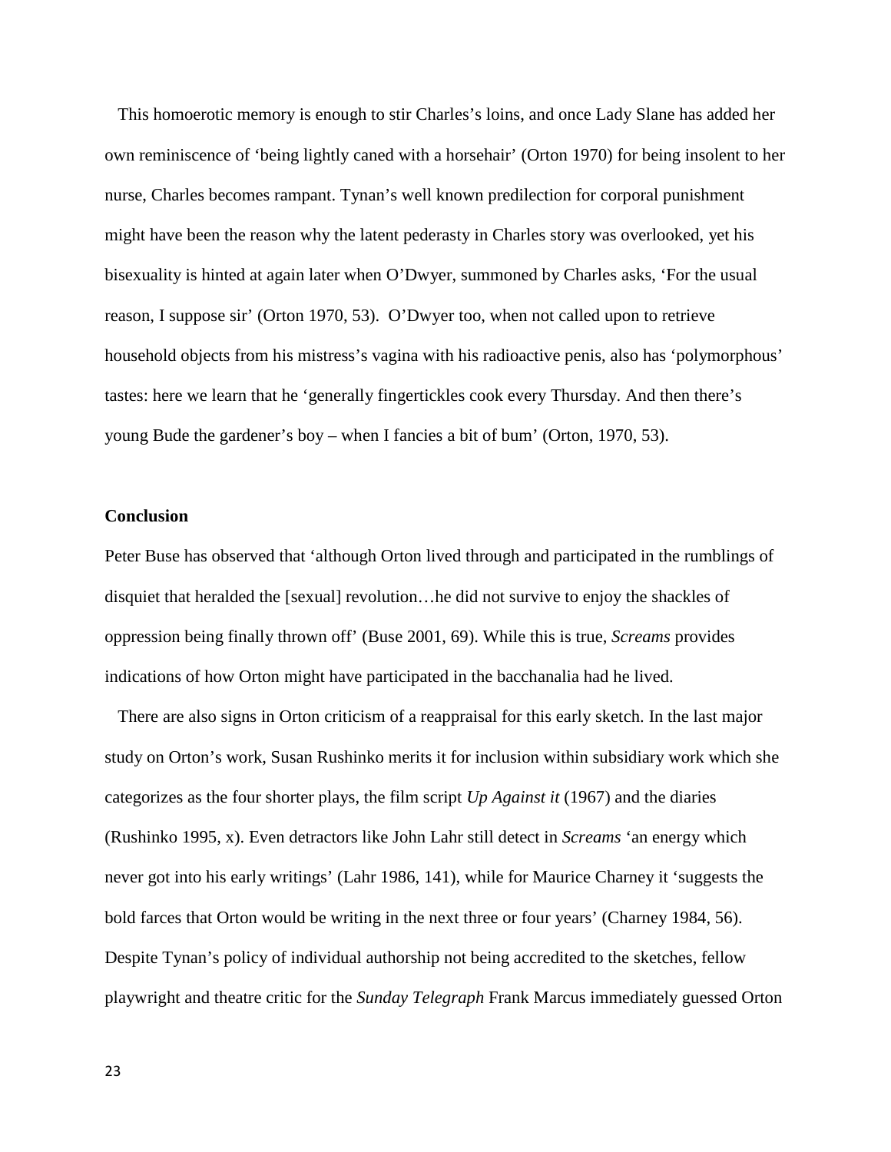This homoerotic memory is enough to stir Charles's loins, and once Lady Slane has added her own reminiscence of 'being lightly caned with a horsehair' (Orton 1970) for being insolent to her nurse, Charles becomes rampant. Tynan's well known predilection for corporal punishment might have been the reason why the latent pederasty in Charles story was overlooked, yet his bisexuality is hinted at again later when O'Dwyer, summoned by Charles asks, 'For the usual reason, I suppose sir' (Orton 1970, 53). O'Dwyer too, when not called upon to retrieve household objects from his mistress's vagina with his radioactive penis, also has 'polymorphous' tastes: here we learn that he 'generally fingertickles cook every Thursday. And then there's young Bude the gardener's boy – when I fancies a bit of bum' (Orton, 1970, 53).

### **Conclusion**

Peter Buse has observed that 'although Orton lived through and participated in the rumblings of disquiet that heralded the [sexual] revolution…he did not survive to enjoy the shackles of oppression being finally thrown off' (Buse 2001, 69). While this is true, *Screams* provides indications of how Orton might have participated in the bacchanalia had he lived.

 There are also signs in Orton criticism of a reappraisal for this early sketch. In the last major study on Orton's work, Susan Rushinko merits it for inclusion within subsidiary work which she categorizes as the four shorter plays, the film script *Up Against it* (1967) and the diaries (Rushinko 1995, x). Even detractors like John Lahr still detect in *Screams* 'an energy which never got into his early writings' (Lahr 1986, 141), while for Maurice Charney it 'suggests the bold farces that Orton would be writing in the next three or four years' (Charney 1984, 56). Despite Tynan's policy of individual authorship not being accredited to the sketches, fellow playwright and theatre critic for the *Sunday Telegraph* Frank Marcus immediately guessed Orton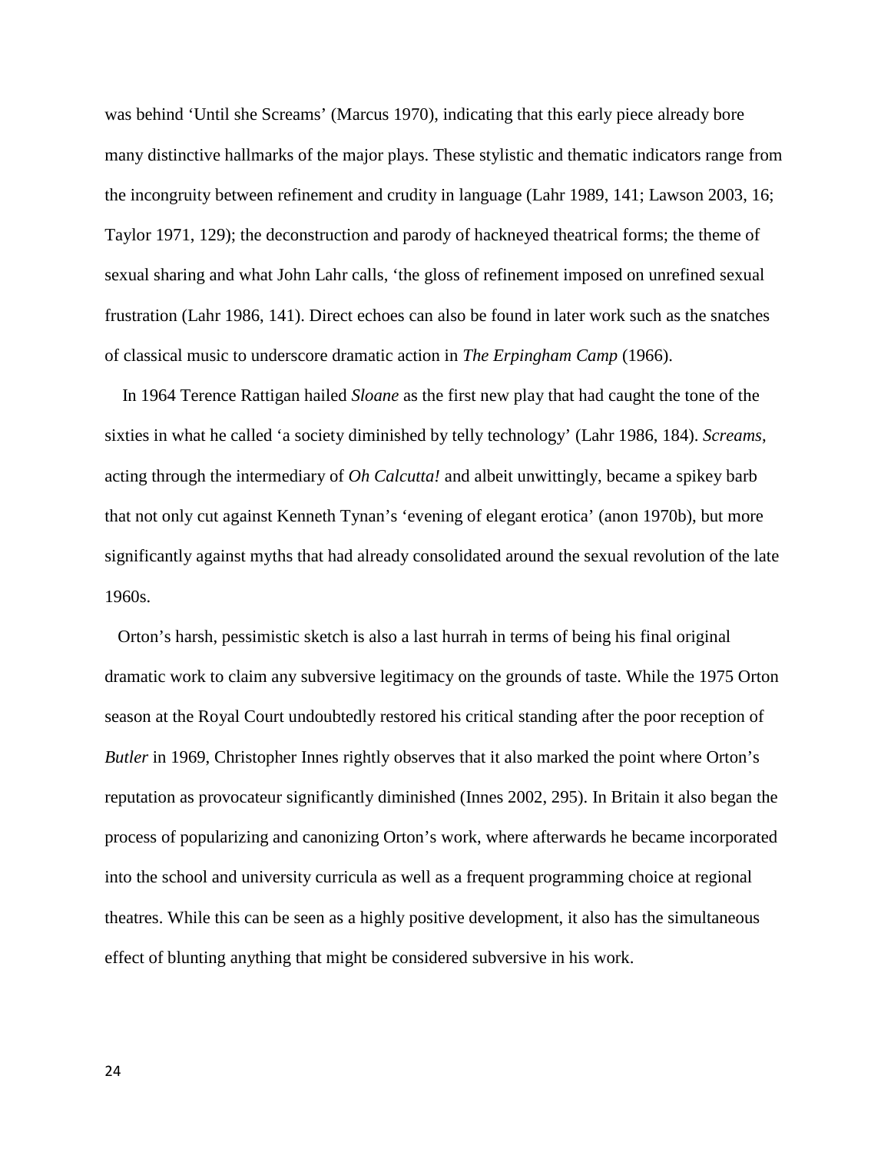was behind 'Until she Screams' (Marcus 1970), indicating that this early piece already bore many distinctive hallmarks of the major plays. These stylistic and thematic indicators range from the incongruity between refinement and crudity in language (Lahr 1989, 141; Lawson 2003, 16; Taylor 1971, 129); the deconstruction and parody of hackneyed theatrical forms; the theme of sexual sharing and what John Lahr calls, 'the gloss of refinement imposed on unrefined sexual frustration (Lahr 1986, 141). Direct echoes can also be found in later work such as the snatches of classical music to underscore dramatic action in *The Erpingham Camp* (1966).

 In 1964 Terence Rattigan hailed *Sloane* as the first new play that had caught the tone of the sixties in what he called 'a society diminished by telly technology' (Lahr 1986, 184). *Screams*, acting through the intermediary of *Oh Calcutta!* and albeit unwittingly, became a spikey barb that not only cut against Kenneth Tynan's 'evening of elegant erotica' (anon 1970b), but more significantly against myths that had already consolidated around the sexual revolution of the late 1960s.

 Orton's harsh, pessimistic sketch is also a last hurrah in terms of being his final original dramatic work to claim any subversive legitimacy on the grounds of taste. While the 1975 Orton season at the Royal Court undoubtedly restored his critical standing after the poor reception of *Butler* in 1969, Christopher Innes rightly observes that it also marked the point where Orton's reputation as provocateur significantly diminished (Innes 2002, 295). In Britain it also began the process of popularizing and canonizing Orton's work, where afterwards he became incorporated into the school and university curricula as well as a frequent programming choice at regional theatres. While this can be seen as a highly positive development, it also has the simultaneous effect of blunting anything that might be considered subversive in his work.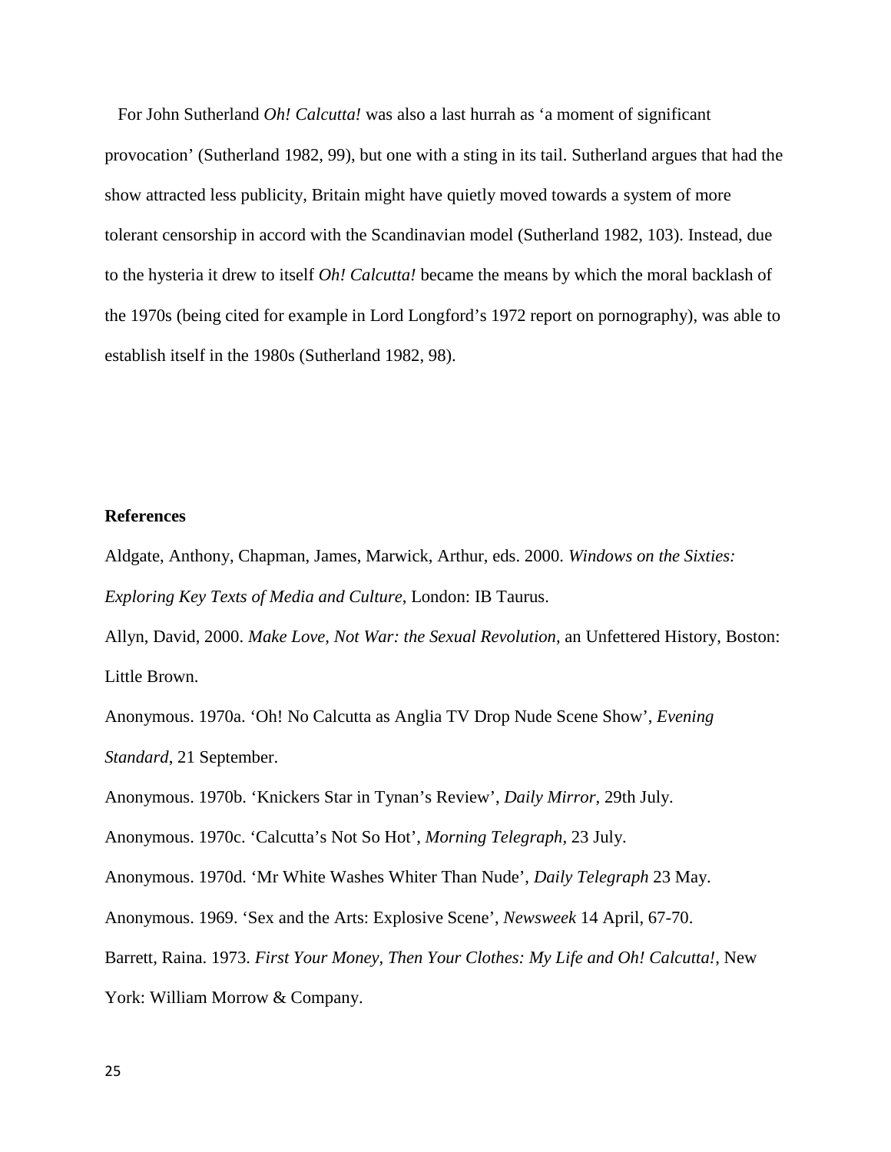For John Sutherland *Oh! Calcutta!* was also a last hurrah as 'a moment of significant provocation' (Sutherland 1982, 99), but one with a sting in its tail. Sutherland argues that had the show attracted less publicity, Britain might have quietly moved towards a system of more tolerant censorship in accord with the Scandinavian model (Sutherland 1982, 103). Instead, due to the hysteria it drew to itself *Oh! Calcutta!* became the means by which the moral backlash of the 1970s (being cited for example in Lord Longford's 1972 report on pornography), was able to establish itself in the 1980s (Sutherland 1982, 98).

#### **References**

Aldgate, Anthony, Chapman, James, Marwick, Arthur, eds. 2000. *Windows on the Sixties: Exploring Key Texts of Media and Culture*, London: IB Taurus.

Allyn, David, 2000. *Make Love, Not War: the Sexual Revolution*, an Unfettered History, Boston: Little Brown.

Anonymous. 1970a. 'Oh! No Calcutta as Anglia TV Drop Nude Scene Show', *Evening Standard*, 21 September.

Anonymous. 1970b. 'Knickers Star in Tynan's Review', *Daily Mirror*, 29th July.

Anonymous. 1970c. 'Calcutta's Not So Hot', *Morning Telegraph*, 23 July.

Anonymous. 1970d. 'Mr White Washes Whiter Than Nude', *Daily Telegraph* 23 May.

Anonymous. 1969. 'Sex and the Arts: Explosive Scene', *Newsweek* 14 April, 67-70.

Barrett, Raina. 1973. *First Your Money, Then Your Clothes: My Life and Oh! Calcutta!*, New

York: William Morrow & Company.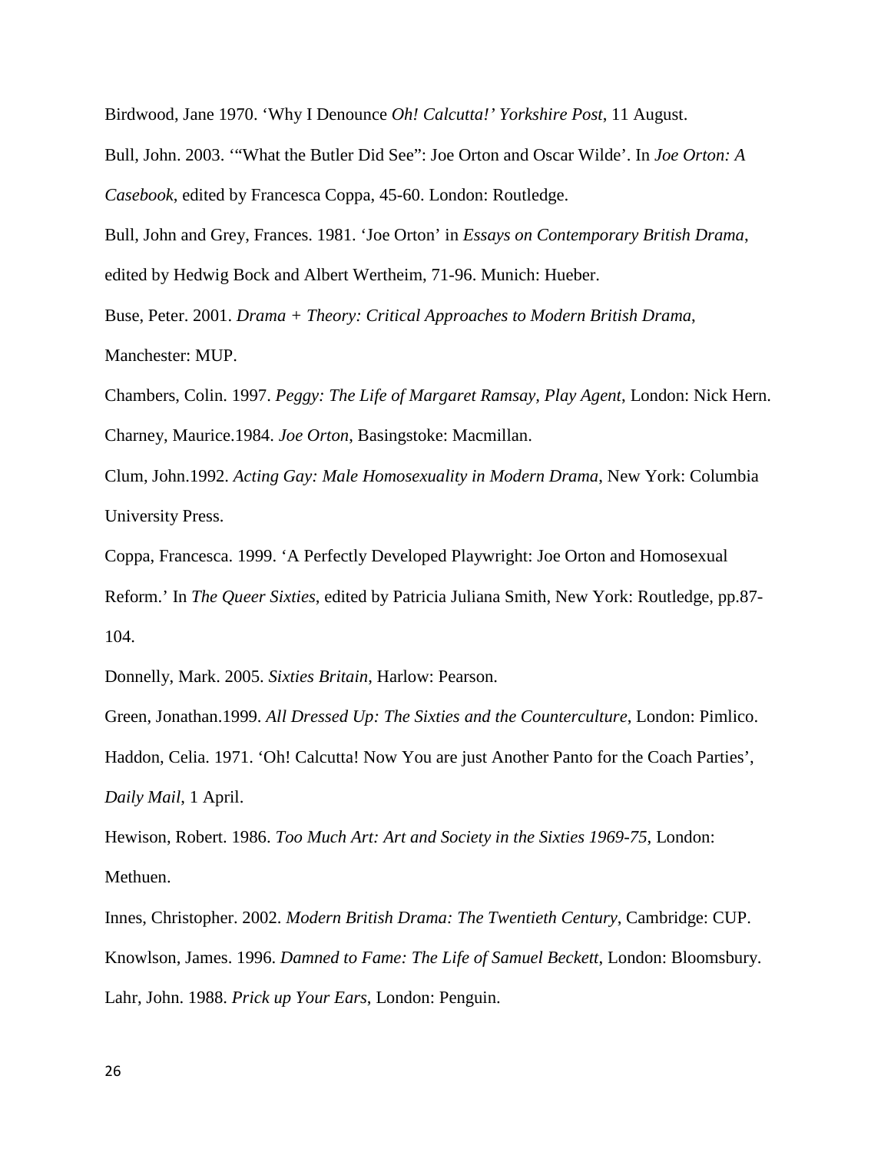Birdwood, Jane 1970. 'Why I Denounce *Oh! Calcutta!' Yorkshire Post*, 11 August.

Bull, John. 2003. '"What the Butler Did See": Joe Orton and Oscar Wilde'. In *Joe Orton: A Casebook*, edited by Francesca Coppa, 45-60. London: Routledge.

Bull, John and Grey, Frances. 1981. 'Joe Orton' in *Essays on Contemporary British Drama*, edited by Hedwig Bock and Albert Wertheim, 71-96. Munich: Hueber.

Buse, Peter. 2001. *Drama + Theory: Critical Approaches to Modern British Drama*,

Manchester: MUP.

Chambers, Colin. 1997. *Peggy: The Life of Margaret Ramsay, Play Agent*, London: Nick Hern. Charney, Maurice.1984. *Joe Orton*, Basingstoke: Macmillan.

Clum, John.1992. *Acting Gay: Male Homosexuality in Modern Drama*, New York: Columbia University Press.

Coppa, Francesca. 1999. 'A Perfectly Developed Playwright: Joe Orton and Homosexual Reform.' In *The Queer Sixties*, edited by Patricia Juliana Smith, New York: Routledge, pp.87- 104.

Donnelly, Mark. 2005. *Sixties Britain*, Harlow: Pearson.

Green, Jonathan.1999. *All Dressed Up: The Sixties and the Counterculture*, London: Pimlico. Haddon, Celia. 1971. 'Oh! Calcutta! Now You are just Another Panto for the Coach Parties', *Daily Mail*, 1 April.

Hewison, Robert. 1986. *Too Much Art: Art and Society in the Sixties 1969-75*, London: Methuen.

Innes, Christopher. 2002. *Modern British Drama: The Twentieth Century*, Cambridge: CUP. Knowlson, James. 1996. *Damned to Fame: The Life of Samuel Beckett*, London: Bloomsbury. Lahr, John. 1988. *Prick up Your Ears*, London: Penguin.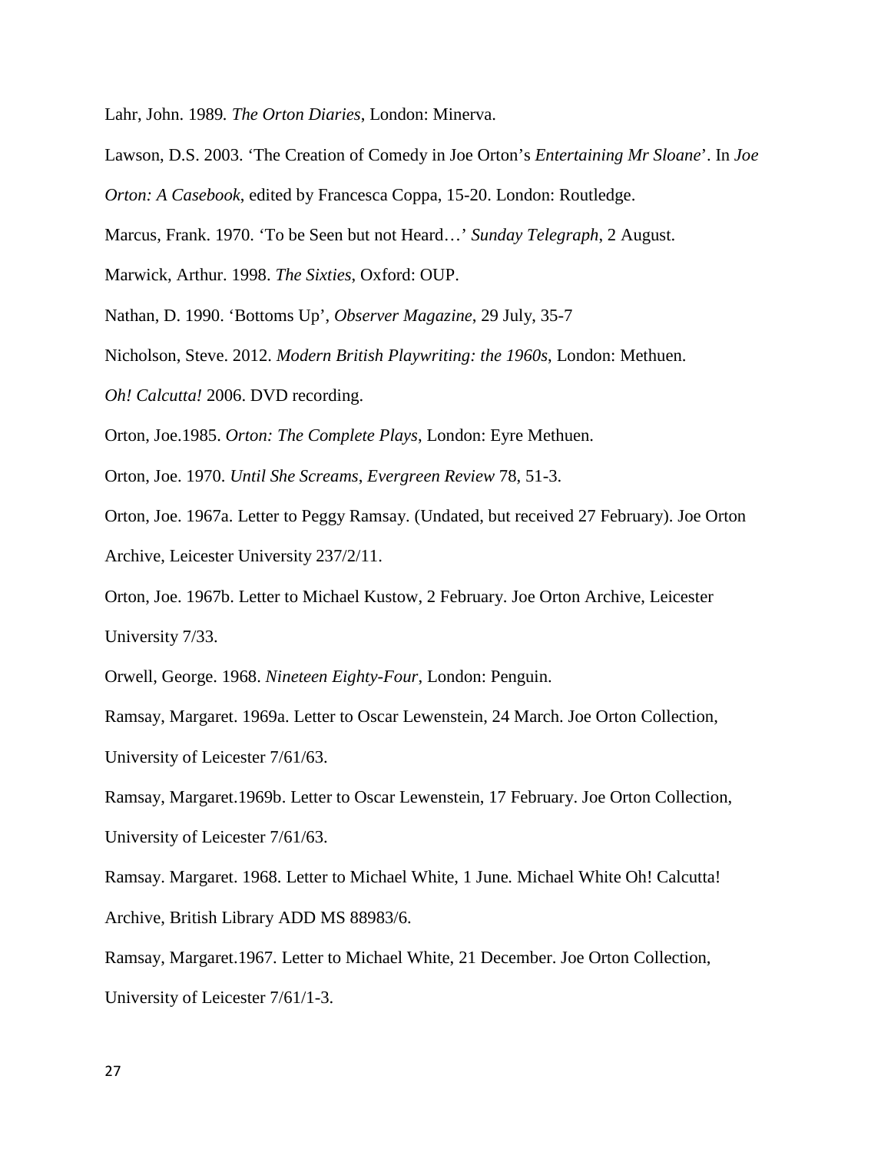Lahr, John. 1989*. The Orton Diaries*, London: Minerva.

- Lawson, D.S. 2003. 'The Creation of Comedy in Joe Orton's *Entertaining Mr Sloane*'. In *Joe*
- *Orton: A Casebook*, edited by Francesca Coppa, 15-20. London: Routledge.
- Marcus, Frank. 1970. 'To be Seen but not Heard…' *Sunday Telegraph*, 2 August.

Marwick, Arthur. 1998. *The Sixties*, Oxford: OUP.

Nathan, D. 1990. 'Bottoms Up', *Observer Magazine*, 29 July, 35-7

Nicholson, Steve. 2012. *Modern British Playwriting: the 1960s*, London: Methuen.

*Oh! Calcutta!* 2006. DVD recording.

Orton, Joe.1985. *Orton: The Complete Plays*, London: Eyre Methuen.

Orton, Joe. 1970. *Until She Screams*, *Evergreen Review* 78, 51-3.

Orton, Joe. 1967a. Letter to Peggy Ramsay. (Undated, but received 27 February). Joe Orton Archive, Leicester University 237/2/11.

Orton, Joe. 1967b. Letter to Michael Kustow, 2 February. Joe Orton Archive, Leicester University 7/33.

Orwell, George. 1968. *Nineteen Eighty-Four*, London: Penguin.

Ramsay, Margaret. 1969a. Letter to Oscar Lewenstein, 24 March. Joe Orton Collection, University of Leicester 7/61/63.

Ramsay, Margaret.1969b. Letter to Oscar Lewenstein, 17 February. Joe Orton Collection, University of Leicester 7/61/63.

Ramsay. Margaret. 1968. Letter to Michael White, 1 June*.* Michael White Oh! Calcutta! Archive, British Library ADD MS 88983/6.

Ramsay, Margaret.1967. Letter to Michael White, 21 December. Joe Orton Collection, University of Leicester 7/61/1-3.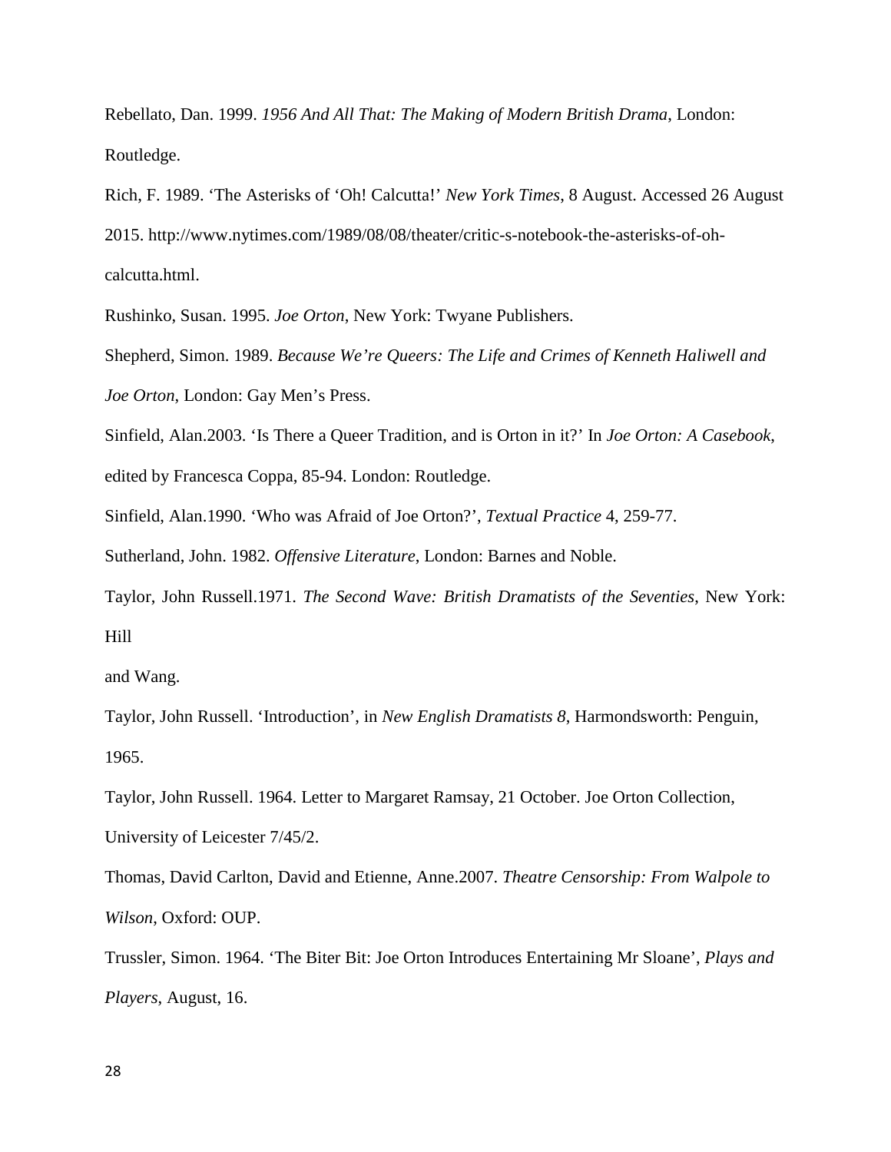Rebellato, Dan. 1999. *1956 And All That: The Making of Modern British Drama*, London: Routledge.

Rich, F. 1989. 'The Asterisks of 'Oh! Calcutta!' *New York Times*, 8 August. Accessed 26 August 2015. http://www.nytimes.com/1989/08/08/theater/critic-s-notebook-the-asterisks-of-ohcalcutta.html.

Rushinko, Susan. 1995. *Joe Orton*, New York: Twyane Publishers.

Shepherd, Simon. 1989. *Because We're Queers: The Life and Crimes of Kenneth Haliwell and Joe Orton*, London: Gay Men's Press.

Sinfield, Alan.2003. 'Is There a Queer Tradition, and is Orton in it?' In *Joe Orton: A Casebook*, edited by Francesca Coppa, 85-94. London: Routledge.

Sinfield, Alan.1990. 'Who was Afraid of Joe Orton?', *Textual Practice* 4, 259-77.

Sutherland, John. 1982. *Offensive Literature*, London: Barnes and Noble.

Taylor, John Russell.1971. *The Second Wave: British Dramatists of the Seventies*, New York: Hill

and Wang.

Taylor, John Russell. 'Introduction', in *New English Dramatists 8*, Harmondsworth: Penguin, 1965.

Taylor, John Russell. 1964. Letter to Margaret Ramsay, 21 October. Joe Orton Collection, University of Leicester 7/45/2.

Thomas, David Carlton, David and Etienne, Anne.2007. *Theatre Censorship: From Walpole to Wilson*, Oxford: OUP.

Trussler, Simon. 1964. 'The Biter Bit: Joe Orton Introduces Entertaining Mr Sloane', *Plays and Players*, August, 16.